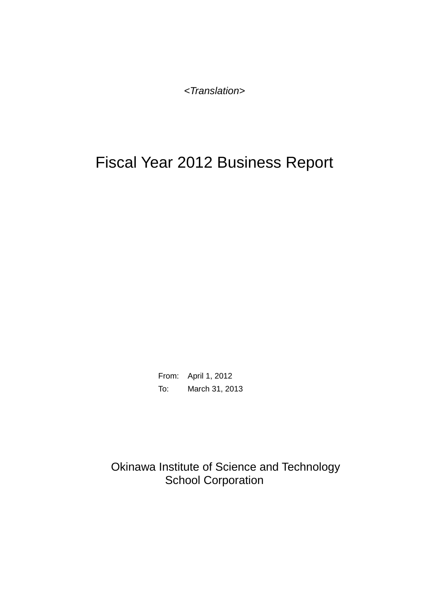*<Translation>*

# Fiscal Year 2012 Business Report

From: April 1, 2012 To: March 31, 2013

Okinawa Institute of Science and Technology School Corporation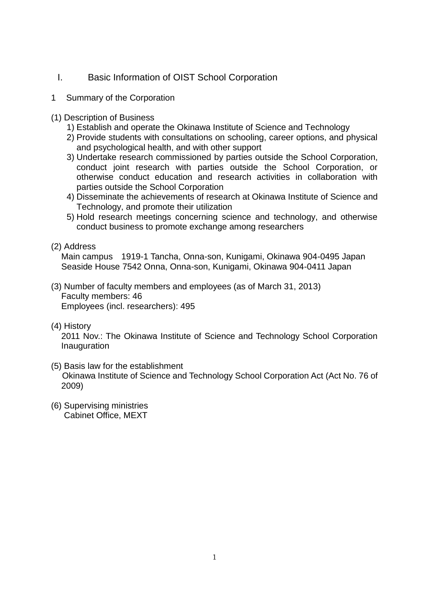- I. Basic Information of OIST School Corporation
- 1 Summary of the Corporation
- (1) Description of Business
	- 1) Establish and operate the Okinawa Institute of Science and Technology
	- 2) Provide students with consultations on schooling, career options, and physical and psychological health, and with other support
	- 3) Undertake research commissioned by parties outside the School Corporation, conduct joint research with parties outside the School Corporation, or otherwise conduct education and research activities in collaboration with parties outside the School Corporation
	- 4) Disseminate the achievements of research at Okinawa Institute of Science and Technology, and promote their utilization
	- 5) Hold research meetings concerning science and technology, and otherwise conduct business to promote exchange among researchers
- (2) Address

Main campus 1919-1 Tancha, Onna-son, Kunigami, Okinawa 904-0495 Japan Seaside House 7542 Onna, Onna-son, Kunigami, Okinawa 904-0411 Japan

- (3) Number of faculty members and employees (as of March 31, 2013) Faculty members: 46 Employees (incl. researchers): 495
- (4) History

2011 Nov.: The Okinawa Institute of Science and Technology School Corporation Inauguration

- (5) Basis law for the establishment Okinawa Institute of Science and Technology School Corporation Act (Act No. 76 of 2009)
- (6) Supervising ministries Cabinet Office, MEXT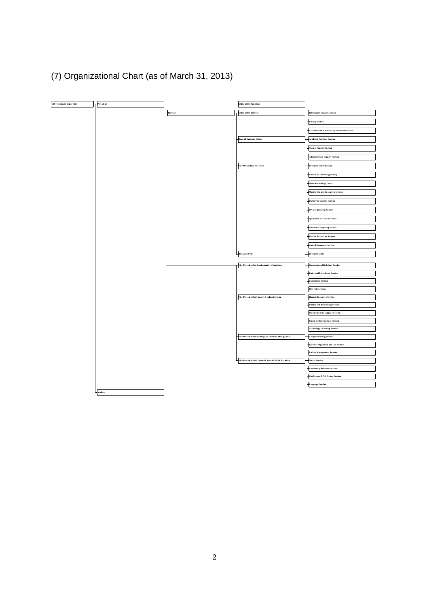## (7) Organizational Chart (as of March 31, 2013)

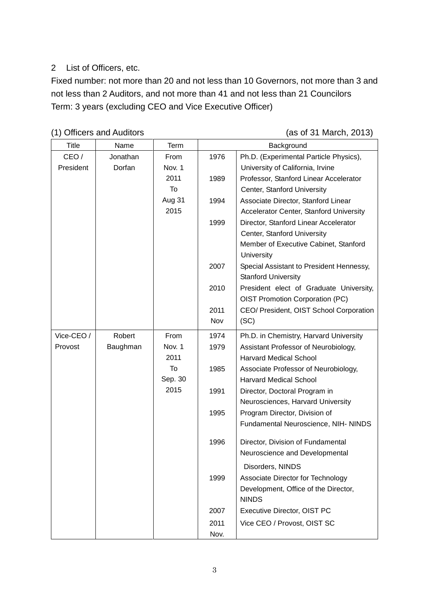### 2 List of Officers, etc.

Fixed number: not more than 20 and not less than 10 Governors, not more than 3 and not less than 2 Auditors, and not more than 41 and not less than 21 Councilors Term: 3 years (excluding CEO and Vice Executive Officer)

#### (1) Officers and Auditors (as of 31 March, 2013)

| Title      | Name     | Term    |      | Background                               |
|------------|----------|---------|------|------------------------------------------|
| CEO/       | Jonathan | From    | 1976 | Ph.D. (Experimental Particle Physics),   |
| President  | Dorfan   | Nov. 1  |      | University of California, Irvine         |
|            |          | 2011    | 1989 | Professor, Stanford Linear Accelerator   |
|            |          | To      |      | Center, Stanford University              |
|            |          | Aug 31  | 1994 | Associate Director, Stanford Linear      |
|            |          | 2015    |      | Accelerator Center, Stanford University  |
|            |          |         | 1999 | Director, Stanford Linear Accelerator    |
|            |          |         |      | Center, Stanford University              |
|            |          |         |      | Member of Executive Cabinet, Stanford    |
|            |          |         |      | University                               |
|            |          |         | 2007 | Special Assistant to President Hennessy, |
|            |          |         |      | <b>Stanford University</b>               |
|            |          |         | 2010 | President elect of Graduate University,  |
|            |          |         |      | <b>OIST Promotion Corporation (PC)</b>   |
|            |          |         | 2011 | CEO/ President, OIST School Corporation  |
|            |          |         | Nov  | (SC)                                     |
| Vice-CEO / | Robert   | From    | 1974 | Ph.D. in Chemistry, Harvard University   |
| Provost    | Baughman | Nov. 1  | 1979 | Assistant Professor of Neurobiology,     |
|            |          | 2011    |      | <b>Harvard Medical School</b>            |
|            |          | To      | 1985 | Associate Professor of Neurobiology,     |
|            |          | Sep. 30 |      | <b>Harvard Medical School</b>            |
|            |          | 2015    | 1991 | Director, Doctoral Program in            |
|            |          |         |      | Neurosciences, Harvard University        |
|            |          |         | 1995 | Program Director, Division of            |
|            |          |         |      | Fundamental Neuroscience, NIH- NINDS     |
|            |          |         | 1996 | Director, Division of Fundamental        |
|            |          |         |      | Neuroscience and Developmental           |
|            |          |         |      | Disorders, NINDS                         |
|            |          |         | 1999 | Associate Director for Technology        |
|            |          |         |      | Development, Office of the Director,     |
|            |          |         |      | <b>NINDS</b>                             |
|            |          |         | 2007 | Executive Director, OIST PC              |
|            |          |         | 2011 | Vice CEO / Provost, OIST SC              |
|            |          |         | Nov. |                                          |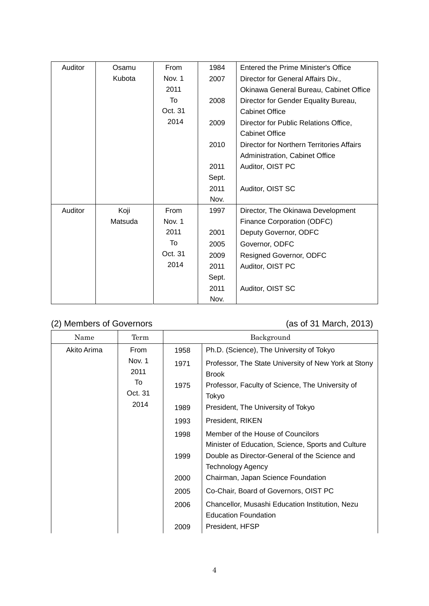| Auditor | Osamu   | From    | 1984  | Entered the Prime Minister's Office       |
|---------|---------|---------|-------|-------------------------------------------|
|         | Kubota  | Nov. 1  | 2007  | Director for General Affairs Div.,        |
|         |         | 2011    |       | Okinawa General Bureau, Cabinet Office    |
|         |         | To      | 2008  | Director for Gender Equality Bureau,      |
|         |         | Oct. 31 |       | <b>Cabinet Office</b>                     |
|         |         | 2014    | 2009  | Director for Public Relations Office.     |
|         |         |         |       | <b>Cabinet Office</b>                     |
|         |         |         | 2010  | Director for Northern Territories Affairs |
|         |         |         |       | Administration, Cabinet Office            |
|         |         |         | 2011  | Auditor, OIST PC                          |
|         |         |         | Sept. |                                           |
|         |         |         | 2011  | Auditor, OIST SC                          |
|         |         |         | Nov.  |                                           |
| Auditor | Koji    | From    | 1997  | Director, The Okinawa Development         |
|         | Matsuda | Nov. 1  |       | Finance Corporation (ODFC)                |
|         |         | 2011    | 2001  | Deputy Governor, ODFC                     |
|         |         | To      | 2005  | Governor, ODFC                            |
|         |         | Oct. 31 | 2009  | Resigned Governor, ODFC                   |
|         |         | 2014    | 2011  | Auditor, OIST PC                          |
|         |         |         | Sept. |                                           |
|         |         |         | 2011  | Auditor, OIST SC                          |
|         |         |         | Nov.  |                                           |

## (2) Members of Governors (as of 31 March, 2013)

| Name        | Term           |      | Background                                                                              |
|-------------|----------------|------|-----------------------------------------------------------------------------------------|
| Akito Arima | From           | 1958 | Ph.D. (Science), The University of Tokyo                                                |
|             | Nov. 1<br>2011 | 1971 | Professor, The State University of New York at Stony<br><b>Brook</b>                    |
|             | To<br>Oct. 31  | 1975 | Professor, Faculty of Science, The University of<br>Tokyo                               |
|             | 2014           | 1989 | President, The University of Tokyo                                                      |
|             |                | 1993 | President, RIKEN                                                                        |
|             |                | 1998 | Member of the House of Councilors<br>Minister of Education, Science, Sports and Culture |
|             |                | 1999 | Double as Director-General of the Science and<br><b>Technology Agency</b>               |
|             |                | 2000 | Chairman, Japan Science Foundation                                                      |
|             |                | 2005 | Co-Chair, Board of Governors, OIST PC                                                   |
|             |                | 2006 | Chancellor, Musashi Education Institution, Nezu<br><b>Education Foundation</b>          |
|             |                | 2009 | President, HFSP                                                                         |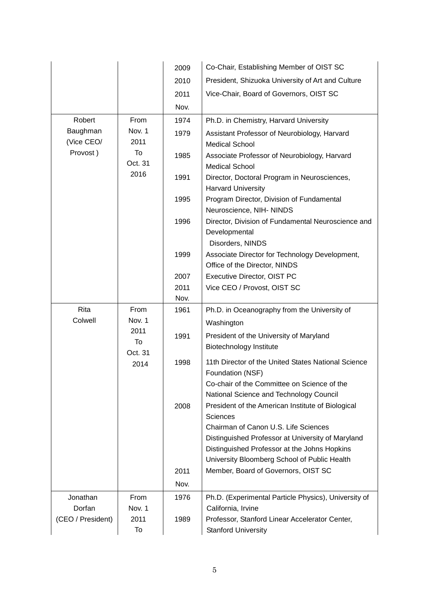|                   |               | 2009 | Co-Chair, Establishing Member of OIST SC                                  |
|-------------------|---------------|------|---------------------------------------------------------------------------|
|                   |               | 2010 | President, Shizuoka University of Art and Culture                         |
|                   |               | 2011 | Vice-Chair, Board of Governors, OIST SC                                   |
|                   |               | Nov. |                                                                           |
| Robert            | From          | 1974 | Ph.D. in Chemistry, Harvard University                                    |
| Baughman          | Nov. 1        | 1979 | Assistant Professor of Neurobiology, Harvard                              |
| (Vice CEO/        | 2011          |      | <b>Medical School</b>                                                     |
| Provost)          | To<br>Oct. 31 | 1985 | Associate Professor of Neurobiology, Harvard                              |
|                   | 2016          |      | <b>Medical School</b>                                                     |
|                   |               | 1991 | Director, Doctoral Program in Neurosciences,<br><b>Harvard University</b> |
|                   |               | 1995 | Program Director, Division of Fundamental                                 |
|                   |               |      | Neuroscience, NIH- NINDS                                                  |
|                   |               | 1996 | Director, Division of Fundamental Neuroscience and                        |
|                   |               |      | Developmental                                                             |
|                   |               |      | Disorders, NINDS                                                          |
|                   |               | 1999 | Associate Director for Technology Development,                            |
|                   |               | 2007 | Office of the Director, NINDS<br>Executive Director, OIST PC              |
|                   |               | 2011 | Vice CEO / Provost, OIST SC                                               |
|                   |               | Nov. |                                                                           |
| Rita              | From          | 1961 | Ph.D. in Oceanography from the University of                              |
| Colwell           | Nov. 1        |      | Washington                                                                |
|                   | 2011          | 1991 | President of the University of Maryland                                   |
|                   | To<br>Oct. 31 |      | Biotechnology Institute                                                   |
|                   | 2014          | 1998 | 11th Director of the United States National Science                       |
|                   |               |      | Foundation (NSF)                                                          |
|                   |               |      | Co-chair of the Committee on Science of the                               |
|                   |               |      | National Science and Technology Council                                   |
|                   |               | 2008 | President of the American Institute of Biological<br><b>Sciences</b>      |
|                   |               |      | Chairman of Canon U.S. Life Sciences                                      |
|                   |               |      | Distinguished Professor at University of Maryland                         |
|                   |               |      | Distinguished Professor at the Johns Hopkins                              |
|                   |               |      | University Bloomberg School of Public Health                              |
|                   |               | 2011 | Member, Board of Governors, OIST SC                                       |
|                   |               | Nov. |                                                                           |
| Jonathan          | From          | 1976 | Ph.D. (Experimental Particle Physics), University of                      |
| Dorfan            | Nov. 1        |      | California, Irvine                                                        |
| (CEO / President) | 2011          | 1989 | Professor, Stanford Linear Accelerator Center,                            |
|                   | To            |      | <b>Stanford University</b>                                                |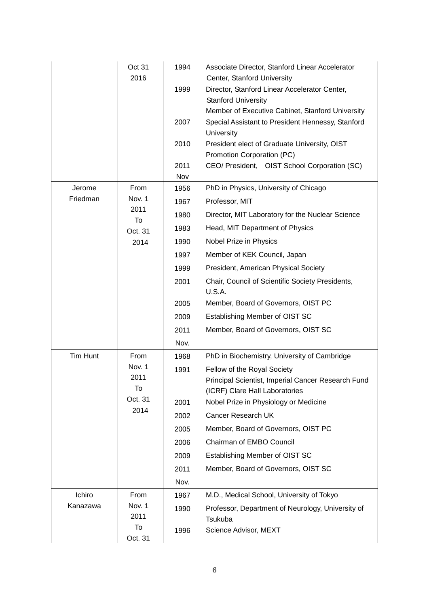|          | Oct 31<br>2016 | 1994 | Associate Director, Stanford Linear Accelerator<br>Center, Stanford University |
|----------|----------------|------|--------------------------------------------------------------------------------|
|          |                | 1999 | Director, Stanford Linear Accelerator Center,                                  |
|          |                |      | <b>Stanford University</b>                                                     |
|          |                |      | Member of Executive Cabinet, Stanford University                               |
|          |                | 2007 | Special Assistant to President Hennessy, Stanford<br>University                |
|          |                | 2010 | President elect of Graduate University, OIST<br>Promotion Corporation (PC)     |
|          |                | 2011 | CEO/ President, OIST School Corporation (SC)                                   |
|          |                | Nov  |                                                                                |
| Jerome   | From           | 1956 | PhD in Physics, University of Chicago                                          |
| Friedman | Nov. 1         | 1967 | Professor, MIT                                                                 |
|          | 2011<br>To     | 1980 | Director, MIT Laboratory for the Nuclear Science                               |
|          | Oct. 31        | 1983 | Head, MIT Department of Physics                                                |
|          | 2014           | 1990 | Nobel Prize in Physics                                                         |
|          |                | 1997 | Member of KEK Council, Japan                                                   |
|          |                | 1999 | President, American Physical Society                                           |
|          |                | 2001 | Chair, Council of Scientific Society Presidents,<br><b>U.S.A.</b>              |
|          |                | 2005 | Member, Board of Governors, OIST PC                                            |
|          |                | 2009 | Establishing Member of OIST SC                                                 |
|          |                | 2011 | Member, Board of Governors, OIST SC                                            |
|          |                | Nov. |                                                                                |
| Tim Hunt | From           | 1968 | PhD in Biochemistry, University of Cambridge                                   |
|          | Nov. 1         | 1991 | Fellow of the Royal Society                                                    |
|          | 2011           |      | Principal Scientist, Imperial Cancer Research Fund                             |
|          | To<br>Oct. 31  |      | (ICRF) Clare Hall Laboratories                                                 |
|          | 2014           | 2001 | Nobel Prize in Physiology or Medicine                                          |
|          |                | 2002 | Cancer Research UK                                                             |
|          |                | 2005 | Member, Board of Governors, OIST PC                                            |
|          |                | 2006 | Chairman of EMBO Council                                                       |
|          |                | 2009 | Establishing Member of OIST SC                                                 |
|          |                | 2011 | Member, Board of Governors, OIST SC                                            |
|          |                | Nov. |                                                                                |
| Ichiro   | From           | 1967 | M.D., Medical School, University of Tokyo                                      |
| Kanazawa | Nov. 1         | 1990 | Professor, Department of Neurology, University of                              |
|          | 2011<br>To     |      | Tsukuba                                                                        |
|          | Oct. 31        | 1996 | Science Advisor, MEXT                                                          |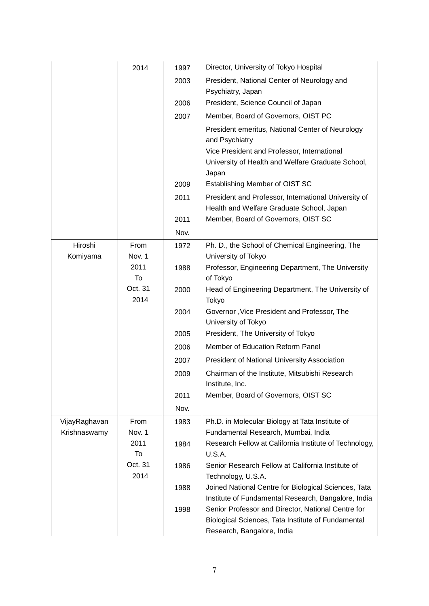| President, National Center of Neurology and<br>2003<br>Psychiatry, Japan<br>President, Science Council of Japan<br>2006<br>Member, Board of Governors, OIST PC<br>2007<br>President emeritus, National Center of Neurology<br>and Psychiatry<br>Vice President and Professor, International<br>University of Health and Welfare Graduate School,<br>Japan | 2014 | 1997 | Director, University of Tokyo Hospital                 |
|-----------------------------------------------------------------------------------------------------------------------------------------------------------------------------------------------------------------------------------------------------------------------------------------------------------------------------------------------------------|------|------|--------------------------------------------------------|
|                                                                                                                                                                                                                                                                                                                                                           |      |      |                                                        |
|                                                                                                                                                                                                                                                                                                                                                           |      |      |                                                        |
|                                                                                                                                                                                                                                                                                                                                                           |      |      |                                                        |
|                                                                                                                                                                                                                                                                                                                                                           |      |      |                                                        |
|                                                                                                                                                                                                                                                                                                                                                           |      |      |                                                        |
|                                                                                                                                                                                                                                                                                                                                                           |      |      |                                                        |
| Establishing Member of OIST SC                                                                                                                                                                                                                                                                                                                            |      |      |                                                        |
| 2009                                                                                                                                                                                                                                                                                                                                                      |      |      |                                                        |
| President and Professor, International University of<br>2011<br>Health and Welfare Graduate School, Japan                                                                                                                                                                                                                                                 |      |      |                                                        |
| Member, Board of Governors, OIST SC<br>2011                                                                                                                                                                                                                                                                                                               |      |      |                                                        |
| Nov.                                                                                                                                                                                                                                                                                                                                                      |      |      |                                                        |
| Hiroshi<br>From<br>1972<br>Ph. D., the School of Chemical Engineering, The                                                                                                                                                                                                                                                                                |      |      |                                                        |
| Komiyama<br>Nov. 1<br>University of Tokyo                                                                                                                                                                                                                                                                                                                 |      |      |                                                        |
| 2011<br>Professor, Engineering Department, The University<br>1988                                                                                                                                                                                                                                                                                         |      |      |                                                        |
| To<br>of Tokyo                                                                                                                                                                                                                                                                                                                                            |      |      |                                                        |
| Oct. 31<br>Head of Engineering Department, The University of<br>2000                                                                                                                                                                                                                                                                                      |      |      |                                                        |
| 2014<br>Tokyo                                                                                                                                                                                                                                                                                                                                             |      |      |                                                        |
| Governor, Vice President and Professor, The<br>2004                                                                                                                                                                                                                                                                                                       |      |      |                                                        |
| University of Tokyo<br>President, The University of Tokyo<br>2005                                                                                                                                                                                                                                                                                         |      |      |                                                        |
| Member of Education Reform Panel                                                                                                                                                                                                                                                                                                                          |      |      |                                                        |
| 2006                                                                                                                                                                                                                                                                                                                                                      |      |      |                                                        |
| President of National University Association<br>2007                                                                                                                                                                                                                                                                                                      |      |      |                                                        |
| 2009<br>Chairman of the Institute, Mitsubishi Research                                                                                                                                                                                                                                                                                                    |      |      |                                                        |
| Institute, Inc.<br>Member, Board of Governors, OIST SC<br>2011                                                                                                                                                                                                                                                                                            |      |      |                                                        |
| Nov.                                                                                                                                                                                                                                                                                                                                                      |      |      |                                                        |
| From<br>1983<br>Ph.D. in Molecular Biology at Tata Institute of                                                                                                                                                                                                                                                                                           |      |      |                                                        |
| VijayRaghavan<br>Krishnaswamy<br>Nov. 1<br>Fundamental Research, Mumbai, India                                                                                                                                                                                                                                                                            |      |      |                                                        |
| 2011<br>1984                                                                                                                                                                                                                                                                                                                                              |      |      | Research Fellow at California Institute of Technology, |
| To<br>U.S.A.                                                                                                                                                                                                                                                                                                                                              |      |      |                                                        |
| Oct. 31<br>Senior Research Fellow at California Institute of<br>1986                                                                                                                                                                                                                                                                                      |      |      |                                                        |
| 2014<br>Technology, U.S.A.                                                                                                                                                                                                                                                                                                                                |      |      |                                                        |
| 1988                                                                                                                                                                                                                                                                                                                                                      |      |      | Joined National Centre for Biological Sciences, Tata   |
|                                                                                                                                                                                                                                                                                                                                                           |      |      | Institute of Fundamental Research, Bangalore, India    |
| Senior Professor and Director, National Centre for<br>1998<br>Biological Sciences, Tata Institute of Fundamental                                                                                                                                                                                                                                          |      |      |                                                        |
| Research, Bangalore, India                                                                                                                                                                                                                                                                                                                                |      |      |                                                        |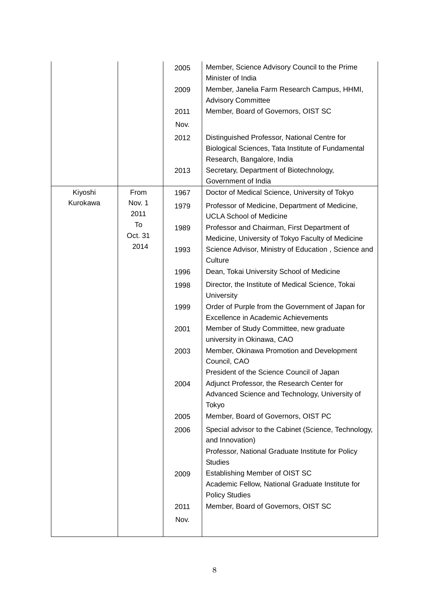|          |         | 2005 | Member, Science Advisory Council to the Prime<br>Minister of India                 |
|----------|---------|------|------------------------------------------------------------------------------------|
|          |         | 2009 | Member, Janelia Farm Research Campus, HHMI,<br><b>Advisory Committee</b>           |
|          |         | 2011 | Member, Board of Governors, OIST SC                                                |
|          |         | Nov. |                                                                                    |
|          |         | 2012 | Distinguished Professor, National Centre for                                       |
|          |         |      | Biological Sciences, Tata Institute of Fundamental                                 |
|          |         |      | Research, Bangalore, India                                                         |
|          |         | 2013 | Secretary, Department of Biotechnology,                                            |
| Kiyoshi  | From    |      | Government of India                                                                |
| Kurokawa | Nov. 1  | 1967 | Doctor of Medical Science, University of Tokyo                                     |
|          | 2011    | 1979 | Professor of Medicine, Department of Medicine,<br><b>UCLA School of Medicine</b>   |
|          | To      | 1989 | Professor and Chairman, First Department of                                        |
|          | Oct. 31 |      | Medicine, University of Tokyo Faculty of Medicine                                  |
|          | 2014    | 1993 | Science Advisor, Ministry of Education, Science and                                |
|          |         |      | Culture                                                                            |
|          |         | 1996 | Dean, Tokai University School of Medicine                                          |
|          |         | 1998 | Director, the Institute of Medical Science, Tokai<br>University                    |
|          |         | 1999 | Order of Purple from the Government of Japan for                                   |
|          |         |      | Excellence in Academic Achievements                                                |
|          |         | 2001 | Member of Study Committee, new graduate                                            |
|          |         |      | university in Okinawa, CAO                                                         |
|          |         | 2003 | Member, Okinawa Promotion and Development<br>Council, CAO                          |
|          |         |      | President of the Science Council of Japan                                          |
|          |         | 2004 | Adjunct Professor, the Research Center for                                         |
|          |         |      | Advanced Science and Technology, University of<br>Tokyo                            |
|          |         | 2005 | Member, Board of Governors, OIST PC                                                |
|          |         | 2006 | Special advisor to the Cabinet (Science, Technology,                               |
|          |         |      | and Innovation)                                                                    |
|          |         |      | Professor, National Graduate Institute for Policy                                  |
|          |         |      | <b>Studies</b>                                                                     |
|          |         | 2009 | Establishing Member of OIST SC<br>Academic Fellow, National Graduate Institute for |
|          |         |      | <b>Policy Studies</b>                                                              |
|          |         | 2011 | Member, Board of Governors, OIST SC                                                |
|          |         | Nov. |                                                                                    |
|          |         |      |                                                                                    |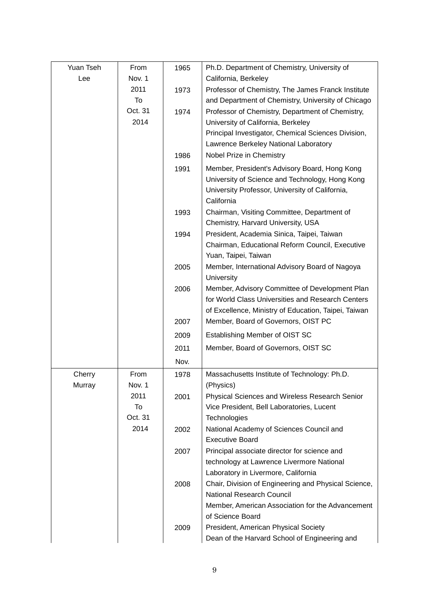| Yuan Tseh | From          | 1965 | Ph.D. Department of Chemistry, University of                                                        |
|-----------|---------------|------|-----------------------------------------------------------------------------------------------------|
| Lee       | Nov. 1        |      | California, Berkeley                                                                                |
|           | 2011          | 1973 | Professor of Chemistry, The James Franck Institute                                                  |
|           | To            |      | and Department of Chemistry, University of Chicago                                                  |
|           | Oct. 31       | 1974 | Professor of Chemistry, Department of Chemistry,                                                    |
|           | 2014          |      | University of California, Berkeley                                                                  |
|           |               |      | Principal Investigator, Chemical Sciences Division,                                                 |
|           |               |      | Lawrence Berkeley National Laboratory                                                               |
|           |               | 1986 | Nobel Prize in Chemistry                                                                            |
|           |               | 1991 | Member, President's Advisory Board, Hong Kong                                                       |
|           |               |      | University of Science and Technology, Hong Kong                                                     |
|           |               |      | University Professor, University of California,                                                     |
|           |               |      | California                                                                                          |
|           |               | 1993 | Chairman, Visiting Committee, Department of                                                         |
|           |               |      | Chemistry, Harvard University, USA                                                                  |
|           |               | 1994 | President, Academia Sinica, Taipei, Taiwan                                                          |
|           |               |      | Chairman, Educational Reform Council, Executive                                                     |
|           |               |      | Yuan, Taipei, Taiwan                                                                                |
|           |               | 2005 | Member, International Advisory Board of Nagoya                                                      |
|           |               |      | University                                                                                          |
|           |               | 2006 | Member, Advisory Committee of Development Plan<br>for World Class Universities and Research Centers |
|           |               |      | of Excellence, Ministry of Education, Taipei, Taiwan                                                |
|           |               | 2007 | Member, Board of Governors, OIST PC                                                                 |
|           |               |      |                                                                                                     |
|           |               | 2009 | Establishing Member of OIST SC                                                                      |
|           |               | 2011 | Member, Board of Governors, OIST SC                                                                 |
|           |               | Nov. |                                                                                                     |
| Cherry    | From          | 1978 | Massachusetts Institute of Technology: Ph.D.                                                        |
| Murray    | Nov. 1        |      | (Physics)                                                                                           |
|           | 2011          | 2001 | Physical Sciences and Wireless Research Senior                                                      |
|           | To<br>Oct. 31 |      | Vice President, Bell Laboratories, Lucent                                                           |
|           | 2014          |      | Technologies                                                                                        |
|           |               | 2002 | National Academy of Sciences Council and<br><b>Executive Board</b>                                  |
|           |               | 2007 | Principal associate director for science and                                                        |
|           |               |      | technology at Lawrence Livermore National                                                           |
|           |               |      | Laboratory in Livermore, California                                                                 |
|           |               | 2008 | Chair, Division of Engineering and Physical Science,                                                |
|           |               |      | <b>National Research Council</b>                                                                    |
|           |               |      | Member, American Association for the Advancement                                                    |
|           |               |      | of Science Board                                                                                    |
|           |               | 2009 | President, American Physical Society                                                                |
|           |               |      | Dean of the Harvard School of Engineering and                                                       |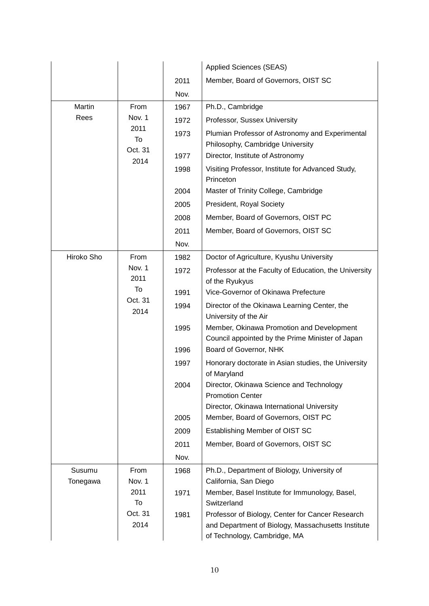|            |                 |      | Applied Sciences (SEAS)                                                                       |
|------------|-----------------|------|-----------------------------------------------------------------------------------------------|
|            |                 | 2011 | Member, Board of Governors, OIST SC                                                           |
|            |                 | Nov. |                                                                                               |
| Martin     | From            | 1967 | Ph.D., Cambridge                                                                              |
| Rees       | Nov. 1          | 1972 | Professor, Sussex University                                                                  |
|            | 2011            | 1973 | Plumian Professor of Astronomy and Experimental                                               |
|            | To<br>Oct. 31   |      | Philosophy, Cambridge University                                                              |
|            | 2014            | 1977 | Director, Institute of Astronomy                                                              |
|            |                 | 1998 | Visiting Professor, Institute for Advanced Study,<br>Princeton                                |
|            |                 | 2004 | Master of Trinity College, Cambridge                                                          |
|            |                 | 2005 | President, Royal Society                                                                      |
|            |                 | 2008 | Member, Board of Governors, OIST PC                                                           |
|            |                 | 2011 | Member, Board of Governors, OIST SC                                                           |
|            |                 | Nov. |                                                                                               |
| Hiroko Sho | From            | 1982 | Doctor of Agriculture, Kyushu University                                                      |
|            | Nov. 1<br>2011  | 1972 | Professor at the Faculty of Education, the University<br>of the Ryukyus                       |
|            | To              | 1991 | Vice-Governor of Okinawa Prefecture                                                           |
|            | Oct. 31<br>2014 | 1994 | Director of the Okinawa Learning Center, the<br>University of the Air                         |
|            |                 | 1995 | Member, Okinawa Promotion and Development<br>Council appointed by the Prime Minister of Japan |
|            |                 | 1996 | Board of Governor, NHK                                                                        |
|            |                 | 1997 | Honorary doctorate in Asian studies, the University<br>of Maryland                            |
|            |                 | 2004 | Director, Okinawa Science and Technology<br><b>Promotion Center</b>                           |
|            |                 |      | Director, Okinawa International University                                                    |
|            |                 | 2005 | Member, Board of Governors, OIST PC                                                           |
|            |                 | 2009 | Establishing Member of OIST SC                                                                |
|            |                 | 2011 | Member, Board of Governors, OIST SC                                                           |
|            |                 | Nov. |                                                                                               |
| Susumu     | From            | 1968 | Ph.D., Department of Biology, University of                                                   |
| Tonegawa   | Nov. 1          |      | California, San Diego                                                                         |
|            | 2011<br>To      | 1971 | Member, Basel Institute for Immunology, Basel,<br>Switzerland                                 |
|            | Oct. 31         | 1981 | Professor of Biology, Center for Cancer Research                                              |
|            | 2014            |      | and Department of Biology, Massachusetts Institute<br>of Technology, Cambridge, MA            |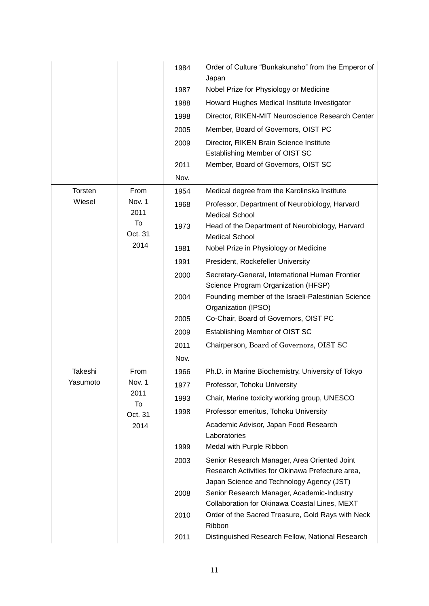|          |                | 1984 | Order of Culture "Bunkakunsho" from the Emperor of<br>Japan                             |
|----------|----------------|------|-----------------------------------------------------------------------------------------|
|          |                | 1987 | Nobel Prize for Physiology or Medicine                                                  |
|          |                | 1988 | Howard Hughes Medical Institute Investigator                                            |
|          |                | 1998 | Director, RIKEN-MIT Neuroscience Research Center                                        |
|          |                | 2005 | Member, Board of Governors, OIST PC                                                     |
|          |                | 2009 | Director, RIKEN Brain Science Institute                                                 |
|          |                |      | Establishing Member of OIST SC                                                          |
|          |                | 2011 | Member, Board of Governors, OIST SC                                                     |
|          |                | Nov. |                                                                                         |
| Torsten  | From           | 1954 | Medical degree from the Karolinska Institute                                            |
| Wiesel   | Nov. 1<br>2011 | 1968 | Professor, Department of Neurobiology, Harvard<br><b>Medical School</b>                 |
|          | To<br>Oct. 31  | 1973 | Head of the Department of Neurobiology, Harvard<br><b>Medical School</b>                |
|          | 2014           | 1981 | Nobel Prize in Physiology or Medicine                                                   |
|          |                | 1991 | President, Rockefeller University                                                       |
|          |                | 2000 | Secretary-General, International Human Frontier<br>Science Program Organization (HFSP)  |
|          |                | 2004 | Founding member of the Israeli-Palestinian Science<br>Organization (IPSO)               |
|          |                | 2005 | Co-Chair, Board of Governors, OIST PC                                                   |
|          |                | 2009 | Establishing Member of OIST SC                                                          |
|          |                | 2011 | Chairperson, Board of Governors, OIST SC                                                |
|          |                | Nov. |                                                                                         |
| Takeshi  | From           | 1966 | Ph.D. in Marine Biochemistry, University of Tokyo                                       |
| Yasumoto | Nov. 1         | 1977 | Professor, Tohoku University                                                            |
|          | 2011<br>To     | 1993 | Chair, Marine toxicity working group, UNESCO                                            |
|          | Oct. 31        | 1998 | Professor emeritus, Tohoku University                                                   |
|          | 2014           |      | Academic Advisor, Japan Food Research<br>Laboratories                                   |
|          |                | 1999 | Medal with Purple Ribbon                                                                |
|          |                | 2003 | Senior Research Manager, Area Oriented Joint                                            |
|          |                |      | Research Activities for Okinawa Prefecture area,                                        |
|          |                | 2008 | Japan Science and Technology Agency (JST)<br>Senior Research Manager, Academic-Industry |
|          |                |      | Collaboration for Okinawa Coastal Lines, MEXT                                           |
|          |                | 2010 | Order of the Sacred Treasure, Gold Rays with Neck<br>Ribbon                             |
|          |                | 2011 | Distinguished Research Fellow, National Research                                        |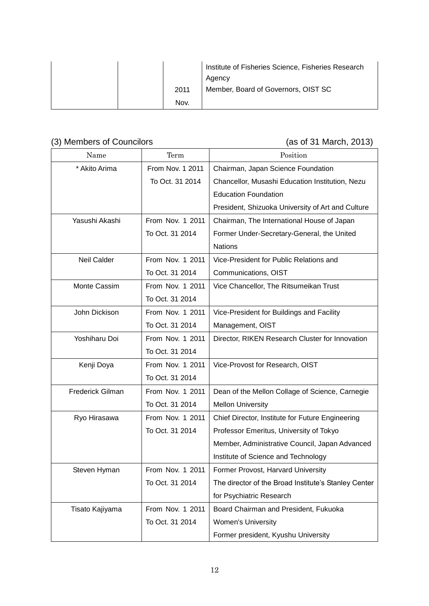| 2011 | Institute of Fisheries Science, Fisheries Research<br>Agency<br>Member, Board of Governors, OIST SC |
|------|-----------------------------------------------------------------------------------------------------|
| Nov. |                                                                                                     |

## (3) Members of Councilors (as of 31 March, 2013)

| Name                    | Term             | Position                                             |
|-------------------------|------------------|------------------------------------------------------|
| * Akito Arima           | From Nov. 1 2011 | Chairman, Japan Science Foundation                   |
|                         | To Oct. 31 2014  | Chancellor, Musashi Education Institution, Nezu      |
|                         |                  | <b>Education Foundation</b>                          |
|                         |                  | President, Shizuoka University of Art and Culture    |
| Yasushi Akashi          | From Nov. 1 2011 | Chairman, The International House of Japan           |
|                         | To Oct. 31 2014  | Former Under-Secretary-General, the United           |
|                         |                  | <b>Nations</b>                                       |
| <b>Neil Calder</b>      | From Nov. 1 2011 | Vice-President for Public Relations and              |
|                         | To Oct. 31 2014  | Communications, OIST                                 |
| Monte Cassim            | From Nov. 1 2011 | Vice Chancellor, The Ritsumeikan Trust               |
|                         | To Oct. 31 2014  |                                                      |
| John Dickison           | From Nov. 1 2011 | Vice-President for Buildings and Facility            |
|                         | To Oct. 31 2014  | Management, OIST                                     |
| Yoshiharu Doi           | From Nov. 1 2011 | Director, RIKEN Research Cluster for Innovation      |
|                         | To Oct. 31 2014  |                                                      |
| Kenji Doya              | From Nov. 1 2011 | Vice-Provost for Research, OIST                      |
|                         | To Oct. 31 2014  |                                                      |
| <b>Frederick Gilman</b> | From Nov. 1 2011 | Dean of the Mellon Collage of Science, Carnegie      |
|                         | To Oct. 31 2014  | <b>Mellon University</b>                             |
| Ryo Hirasawa            | From Nov. 1 2011 | Chief Director, Institute for Future Engineering     |
|                         | To Oct. 31 2014  | Professor Emeritus, University of Tokyo              |
|                         |                  | Member, Administrative Council, Japan Advanced       |
|                         |                  | Institute of Science and Technology                  |
| Steven Hyman            | From Nov. 1 2011 | Former Provost, Harvard University                   |
|                         | To Oct. 31 2014  | The director of the Broad Institute's Stanley Center |
|                         |                  | for Psychiatric Research                             |
| Tisato Kajiyama         | From Nov. 1 2011 | Board Chairman and President, Fukuoka                |
|                         | To Oct. 31 2014  | <b>Women's University</b>                            |
|                         |                  | Former president, Kyushu University                  |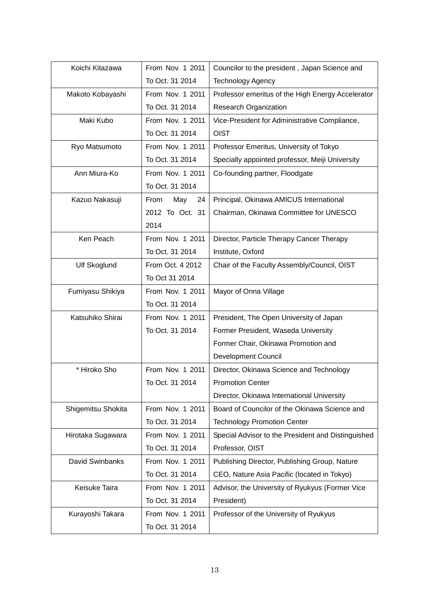| Koichi Kitazawa     | From Nov. 1 2011  | Councilor to the president, Japan Science and      |  |
|---------------------|-------------------|----------------------------------------------------|--|
|                     | To Oct. 31 2014   | <b>Technology Agency</b>                           |  |
| Makoto Kobayashi    | From Nov. 1 2011  | Professor emeritus of the High Energy Accelerator  |  |
|                     | To Oct. 31 2014   | Research Organization                              |  |
| Maki Kubo           | From Nov. 1 2011  | Vice-President for Administrative Compliance,      |  |
|                     | To Oct. 31 2014   | <b>OIST</b>                                        |  |
| Ryo Matsumoto       | From Nov. 1 2011  | Professor Emeritus, University of Tokyo            |  |
|                     | To Oct. 31 2014   | Specially appointed professor, Meiji University    |  |
| Ann Miura-Ko        | From Nov. 1 2011  | Co-founding partner, Floodgate                     |  |
|                     | To Oct. 31 2014   |                                                    |  |
| Kazuo Nakasuji      | From<br>May<br>24 | Principal, Okinawa AMICUS International            |  |
|                     | 2012 To Oct. 31   | Chairman, Okinawa Committee for UNESCO             |  |
|                     | 2014              |                                                    |  |
| Ken Peach           | From Nov. 1 2011  | Director, Particle Therapy Cancer Therapy          |  |
|                     | To Oct. 31 2014   | Institute, Oxford                                  |  |
| <b>Ulf Skoglund</b> | From Oct. 4 2012  | Chair of the Faculty Assembly/Council, OIST        |  |
|                     | To Oct 31 2014    |                                                    |  |
| Fumiyasu Shikiya    | From Nov. 1 2011  | Mayor of Onna Village                              |  |
|                     | To Oct. 31 2014   |                                                    |  |
| Katsuhiko Shirai    | From Nov. 1 2011  | President, The Open University of Japan            |  |
|                     | To Oct. 31 2014   | Former President, Waseda University                |  |
|                     |                   | Former Chair, Okinawa Promotion and                |  |
|                     |                   | <b>Development Council</b>                         |  |
| * Hiroko Sho        | From Nov. 1 2011  | Director, Okinawa Science and Technology           |  |
|                     | To Oct. 31 2014   | <b>Promotion Center</b>                            |  |
|                     |                   | Director, Okinawa International University         |  |
| Shigemitsu Shokita  | From Nov. 1 2011  | Board of Councilor of the Okinawa Science and      |  |
|                     | To Oct. 31 2014   | <b>Technology Promotion Center</b>                 |  |
| Hirotaka Sugawara   | From Nov. 1 2011  | Special Advisor to the President and Distinguished |  |
|                     | To Oct. 31 2014   | Professor, OIST                                    |  |
| David Swinbanks     | From Nov. 1 2011  | Publishing Director, Publishing Group, Nature      |  |
|                     | To Oct. 31 2014   | CEO, Nature Asia Pacific (located in Tokyo)        |  |
| Keisuke Taira       | From Nov. 1 2011  | Advisor, the University of Ryukyus (Former Vice    |  |
|                     | To Oct. 31 2014   | President)                                         |  |
| Kurayoshi Takara    | From Nov. 1 2011  | Professor of the University of Ryukyus             |  |
|                     | To Oct. 31 2014   |                                                    |  |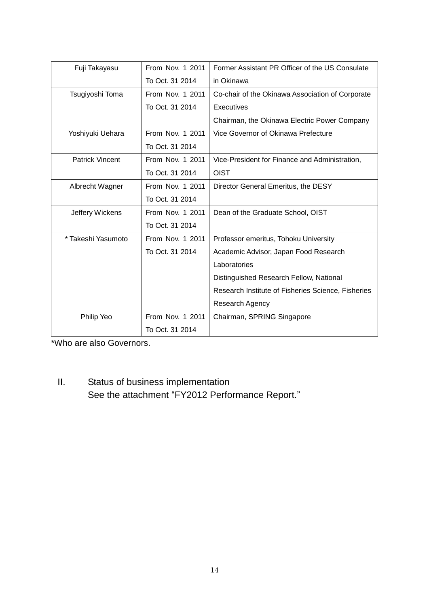| Fuji Takayasu          | From Nov. 1 2011 | Former Assistant PR Officer of the US Consulate    |
|------------------------|------------------|----------------------------------------------------|
|                        | To Oct. 31 2014  | in Okinawa                                         |
| Tsugiyoshi Toma        | From Nov. 1 2011 | Co-chair of the Okinawa Association of Corporate   |
|                        | To Oct. 31 2014  | Executives                                         |
|                        |                  | Chairman, the Okinawa Electric Power Company       |
| Yoshiyuki Uehara       | From Nov. 1 2011 | Vice Governor of Okinawa Prefecture                |
|                        | To Oct. 31 2014  |                                                    |
| <b>Patrick Vincent</b> | From Nov. 1 2011 | Vice-President for Finance and Administration,     |
|                        | To Oct. 31 2014  | <b>OIST</b>                                        |
| Albrecht Wagner        | From Nov. 1 2011 | Director General Emeritus, the DESY                |
|                        | To Oct. 31 2014  |                                                    |
| Jeffery Wickens        | From Nov. 1 2011 | Dean of the Graduate School, OIST                  |
|                        | To Oct. 31 2014  |                                                    |
| * Takeshi Yasumoto     | From Nov. 1 2011 | Professor emeritus, Tohoku University              |
|                        | To Oct. 31 2014  | Academic Advisor, Japan Food Research              |
|                        |                  | Laboratories                                       |
|                        |                  | Distinguished Research Fellow, National            |
|                        |                  | Research Institute of Fisheries Science, Fisheries |
|                        |                  | Research Agency                                    |
| Philip Yeo             | From Nov. 1 2011 | Chairman, SPRING Singapore                         |
|                        | To Oct. 31 2014  |                                                    |

\*Who are also Governors.

II. Status of business implementation See the attachment "FY2012 Performance Report."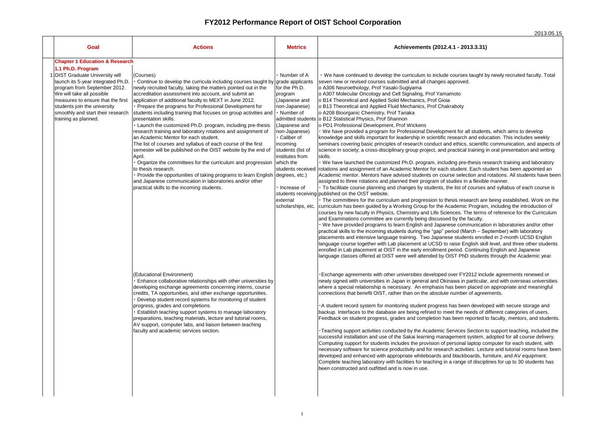culum to include courses taught by newly recruited faculty. Total and all changes approved.

aling, Prof Yamamoto

nanics, Prof Gioia

anics, Prof Chakraboty

ickens

sional Development for all students, which aims to develop ship in scientific research and education. This includes weekly earch conduct and ethics, scientific communication, and aspects of oup project, and practical training in oral presentation and writing

1. program, including pre-thesis research training and laboratory Mentor for each student. Each student has been appointed an students on course selection and rotations. All students have been heir program of studies in a flexible manner.

es by students, the list of courses and syllabus of each course is

progression to thesis research are being established. Work on the Group for the Academic Program, including the introduction of stry and Life Sciences. The terms of reference for the Curriculum being discussed by the faculty.

glish and Japanese communication in laboratories and/or other uring the "gap" period (March – September) with laboratory ng. Two Japanese students enrolled in 2-month UCSD English nent at UCSD to raise English skill level, and three other students early enrollment period. Continuing English and Japanese ell attended by OIST PhD students through the Academic year.

sities developed over FY2012 include agreements renewed or general and Okinawa in particular, and with overseas universities An emphasis has been placed on appropriate and meaningful on the absolute number of agreements.

tudent progress has been developed with secure storage and ing refined to meet the needs of different categories of users. Id completion has been reported to faculty, mentors, and students.

the Academic Services Section to support teaching, included the ai learning management system, adopted for all course delivery. the provision of personal laptop computer for each student, with ty and for research activities. Lecture and tutorial rooms have been whiteboards and blackboards, furniture, and AV equipment. s for teaching in a range of disciplines for up to 30 students has  $\theta$  in use.

## **FY2012 Performance Report of OIST School Corporation**

| Goal                                                                                                                                                                                                                                                                                                                                   | <b>Actions</b>                                                                                                                                                                                                                                                                                                                                                                                                                                                                                                                                                                                                                                                                                                                                                                                                                                                                                                                                                                                                                       | <b>Metrics</b>                                                                                                                                                                                                                                                 | Achieveme                                                                                                                                                                                                                                                                                                                                                                                                                                                                                                                                                                                                                                                                                                                                                                                                                                                                                                                                                                                                                                                                                                                                                                                                                                                                                                                                                                                                                                                                                           |
|----------------------------------------------------------------------------------------------------------------------------------------------------------------------------------------------------------------------------------------------------------------------------------------------------------------------------------------|--------------------------------------------------------------------------------------------------------------------------------------------------------------------------------------------------------------------------------------------------------------------------------------------------------------------------------------------------------------------------------------------------------------------------------------------------------------------------------------------------------------------------------------------------------------------------------------------------------------------------------------------------------------------------------------------------------------------------------------------------------------------------------------------------------------------------------------------------------------------------------------------------------------------------------------------------------------------------------------------------------------------------------------|----------------------------------------------------------------------------------------------------------------------------------------------------------------------------------------------------------------------------------------------------------------|-----------------------------------------------------------------------------------------------------------------------------------------------------------------------------------------------------------------------------------------------------------------------------------------------------------------------------------------------------------------------------------------------------------------------------------------------------------------------------------------------------------------------------------------------------------------------------------------------------------------------------------------------------------------------------------------------------------------------------------------------------------------------------------------------------------------------------------------------------------------------------------------------------------------------------------------------------------------------------------------------------------------------------------------------------------------------------------------------------------------------------------------------------------------------------------------------------------------------------------------------------------------------------------------------------------------------------------------------------------------------------------------------------------------------------------------------------------------------------------------------------|
| <b>Chapter 1 Education &amp; Research</b><br>1.1 Ph.D. Program<br>1 OIST Graduate University will<br>launch its 5-year integrated Ph.D.<br>program from September 2012.<br>We will take all possible<br>measures to ensure that the first<br>students join the university<br>smoothly and start their research<br>training as planned. | (Courses)<br>• Continue to develop the curricula including courses taught by grade applicants<br>newly recruited faculty, taking the matters pointed out in the<br>accreditation assessment into account, and submit an<br>application of additional faculty to MEXT in June 2012.<br>Prepare the programs for Professional Development for<br>students including training that focuses on group activities and<br>presentation skills.<br>Launch the customized Ph.D. program, including pre-thesis<br>research training and laboratory rotations and assignment of<br>an Academic Mentor for each student.<br>The list of courses and syllabus of each course of the first<br>semester will be published on the OIST website by the end of<br>April.<br>Organize the committees for the curriculum and progression<br>to thesis research.<br>Provide the opportunities of taking programs to learn English degrees, etc.)<br>and Japanese communication in laboratories and/or other<br>practical skills to the incoming students. | • Number of A<br>for the Ph.D.<br>program<br>(Japanese and<br>non-Japanese)<br>· Number of<br>(Japanese and<br>non-Japanese)<br>Caliber of<br>incoming<br>students (list of<br>institutes from<br>which the<br>· Increase of<br>external<br>scholarships, etc. | • We have continued to develop the curriculu<br>seven new or revised courses submitted and a<br>o A306 Neuroethology, Prof Yasaki-Sugiyama<br>o A307 Molecular Oncology and Cell Signaling<br>o B14 Theoretical and Applied Solid Mechanic<br>o B13 Theoretical and Applied Fluid Mechanic<br>lo A208 Bioorganic Chemistry, Prof Tanaka<br>admitted students   o B12 Statistical Physics, Prof Shannon<br>o PD1 Professional Development, Prof Wicke<br>• We have provided a program for Profession<br>knowledge and skills important for leadership<br>seminars covering basic principles of research<br>science in society; a cross-disciplinary group p<br>skills.<br>• We have launched the customized Ph.D. pro<br>students received rotations and assignment of an Academic Mer<br>Academic mentor. Mentors have advised stud<br>assigned to three rotations and planned their p<br>· To facilitate course planning and changes by<br>students receiving published on the OIST website.<br>• The committees for the curriculum and prog<br>curriculum has been guided by a Working Gro<br>courses by new faculty in Physics, Chemistry a<br>and Examinations committee are currently bei<br>• We have provided programs to learn English<br>practical skills to the incoming students during<br>placements and intensive language training.<br>language course together with Lab placement<br>enrolled in Lab placement at OIST in the early<br>language classes offered at OIST were well at |
|                                                                                                                                                                                                                                                                                                                                        | (Educational Environment)<br>Enhance collaborative relationships with other universities by<br>developing exchange agreements concerning interns, course<br>credits, TA opportunities, and other exchange opportunities.<br>Develop student record systems for monitoring of student<br>progress, grades and completions.<br>Establish teaching support systems to manage laboratory<br>preparations, teaching materials, lecture and tutorial rooms,<br>AV support, computer labs, and liaison between teaching<br>faculty and academic services section.                                                                                                                                                                                                                                                                                                                                                                                                                                                                           |                                                                                                                                                                                                                                                                | <b>Exchange agreements with other universities</b><br>newly signed with universities in Japan in gene<br>where a special relationship is necessary. An<br>connections that benefit OIST, rather than on<br>-A student record system for monitoring stude<br>backup. Interfaces to the database are being a<br>Feedback on student progress, grades and co<br>• Teaching support activities conducted by the<br>successful installation and use of the Sakai lea<br>Computing support for students includes the p<br>necessary software for science productivity ar<br>developed and enhanced with appropriate whi<br>Complete teaching laboratory with facilities for<br>been constructed and outfitted and is now in u                                                                                                                                                                                                                                                                                                                                                                                                                                                                                                                                                                                                                                                                                                                                                                             |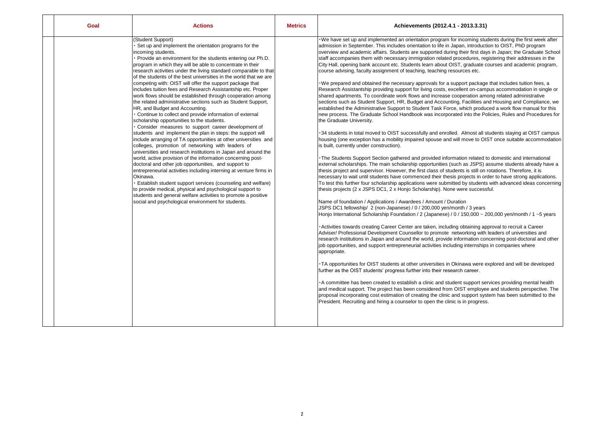ntation program for incoming students during the first week after entation to life in Japan, introduction to OIST, PhD program re supported during their first days in Japan; the Graduate School migration related procedures, registering their addresses in the Ints learn about OIST, graduate courses and academic program, ching, teaching resources etc.

approvals for a support package that includes tuition fees, a for living costs, excellent on-campus accommodation in single or ws and increase cooperation among related administrative dget and Accounting, Facilities and Housing and Compliance, we Student Task Force, which produced a work flow manual for this oook was incorporated into the Policies, Rules and Procedures for

ssfully and enrolled. Almost all students staying at OIST campus aired spouse and will move to OIST once suitable accommodation

and provided information related to domestic and international ip opportunities (such as JSPS) assume students already have a e first class of students is still on rotations. Therefore, it is nenced their thesis projects in order to have strong applications. ttions were submitted by students with advanced ideas concerning Scholarship). None were successful.

ees / Amount / Duration  $0/200,000$  yen/month / 3 years Homang International Scholarship 200,000 yen/month / 1 ~5 years

are taken, including obtaining approval to recruit a Career ellor to promote networking with leaders of universities and the world, provide information concerning post-doctoral and other irial activities including internships in companies where

er universities in Okinawa were explored and will be developed her into their research career.

sh a clinic and student support services providing mental health considered from OIST employee and students perspective. The reating the clinic and support system has been submitted to the or to open the clinic is in progress.

| Goal | <b>Actions</b>                                                                                                                                                                                                                                                                                                                                                                                                                                                                                                                                                                                                                                                                                                                                                                                                                                                                                                                                                                                                                                                                                                                                                                                                                                                                                                                                                                                                                                                                                                                                               | <b>Metrics</b> | <b>Achieve</b>                                                                                                                                                                                                                                                                                                                                                                                                                                                                                                                                                                                                                                                                                                                                                                                                                                                                                                                                                                                                                                                                                                                                                                                                                                                                                                                                                                                                                                                                                                                                                                                                                                                          |
|------|--------------------------------------------------------------------------------------------------------------------------------------------------------------------------------------------------------------------------------------------------------------------------------------------------------------------------------------------------------------------------------------------------------------------------------------------------------------------------------------------------------------------------------------------------------------------------------------------------------------------------------------------------------------------------------------------------------------------------------------------------------------------------------------------------------------------------------------------------------------------------------------------------------------------------------------------------------------------------------------------------------------------------------------------------------------------------------------------------------------------------------------------------------------------------------------------------------------------------------------------------------------------------------------------------------------------------------------------------------------------------------------------------------------------------------------------------------------------------------------------------------------------------------------------------------------|----------------|-------------------------------------------------------------------------------------------------------------------------------------------------------------------------------------------------------------------------------------------------------------------------------------------------------------------------------------------------------------------------------------------------------------------------------------------------------------------------------------------------------------------------------------------------------------------------------------------------------------------------------------------------------------------------------------------------------------------------------------------------------------------------------------------------------------------------------------------------------------------------------------------------------------------------------------------------------------------------------------------------------------------------------------------------------------------------------------------------------------------------------------------------------------------------------------------------------------------------------------------------------------------------------------------------------------------------------------------------------------------------------------------------------------------------------------------------------------------------------------------------------------------------------------------------------------------------------------------------------------------------------------------------------------------------|
|      | (Student Support)<br>Set up and implement the orientation programs for the<br>incoming students.<br>. Provide an environment for the students entering our Ph.D.<br>program in which they will be able to concentrate in their<br>research activities under the living standard comparable to that<br>of the students of the best universities in the world that we are<br>competing with: OIST will offer the support package that<br>includes tuition fees and Research Assistantship etc. Proper<br>work flows should be established through cooperation among<br>the related administrative sections such as Student Support,<br>HR, and Budget and Accounting.<br>• Continue to collect and provide information of external<br>scholarship opportunities to the students.<br>. Consider measures to support career development of<br>students and implement the plan in steps: the support will<br>include arranging of TA opportunities at other universities and<br>colleges, promotion of networking with leaders of<br>universities and research institutions in Japan and around the<br>world, active provision of the information concerning post-<br>doctoral and other job opportunities, and support to<br>entrepreneurial activities including interning at venture firms in<br>Okinawa.<br>· Establish student support services (counseling and welfare)<br>to provide medical, physical and psychological support to<br>students and general welfare activities to promote a positive<br>social and psychological environment for students. |                | . We have set up and implemented an orier<br>admission in September. This includes orie<br>overview and academic affairs. Students are<br>staff accompanies them with necessary imi<br>City Hall, opening bank account etc. Studer<br>course advising, faculty assignment of tead<br>. We prepared and obtained the necessary<br>Research Assistantship providing support f<br>shared apartments. To coordinate work flow<br>sections such as Student Support, HR, Bud<br>established the Administrative Support to S<br>new process. The Graduate School Handb<br>the Graduate University.<br>.34 students in total moved to OIST succes<br>housing (one exception has a mobility impa<br>is built, currently under construction).<br>. The Students Support Section gathered a<br>external scholarships. The main scholarshi<br>thesis project and supervisor. However, the<br>necessary to wait until students have comn<br>To test this further four scholarship applicat<br>thesis projects (2 x JSPS DC1, 2 x Honjo S<br>Name of foundation / Applications / Awarde<br>JSPS DC1 fellowship/ 2 (non-Japanese) /<br>Honjo International Scholarship Foundation<br>- Activities towards creating Career Center<br>Adviser/ Professional Development Counse<br>research institutions in Japan and around tl<br>job opportunities, and support entrepreneur<br>appropriate.<br>. TA opportunities for OIST students at other<br>further as the OIST students' progress furth<br>• A committee has been created to establis<br>and medical support. The project has been<br>proposal incorporating cost estimation of cr<br>President. Recruiting and hiring a counselo |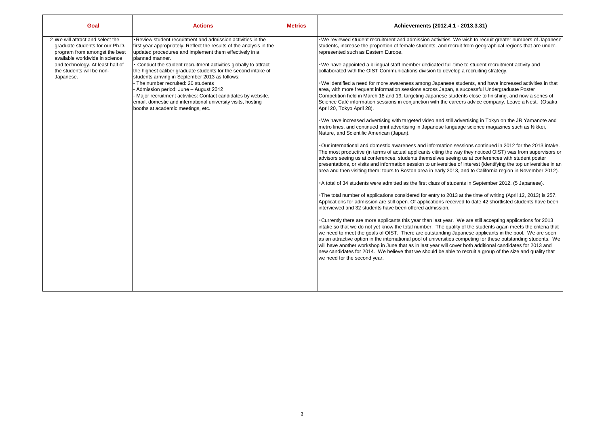mission activities. We wish to recruit greater numbers of Japanese le students, and recruit from geographical regions that are under-

hber dedicated full-time to student recruitment activity and ns division to develop a recruiting strategy.

a among Japanese students, and have increased activities in that ions across Japan, a successful Undergraduate Poster geting Japanese students close to finishing, and now a series of junction with the careers advice company, Leave a Nest. (Osaka

eted video and still advertising in Tokyo on the JR Yamanote and g in Japanese language science magazines such as Nikkei,

ss and information sessions continued in 2012 for the 2013 intake. pplicants citing the way they noticed OIST) was from supervisors or hts themselves seeing us at conferences with student poster ession to universities of interest (identifying the top universities in an on area in early 2013, and to California region in November 2012).

he first class of students in September 2012. (5 Japanese).

red for entry to 2013 at the time of writing (April 12, 2013) is 257. Of applications received to date 42 shortlisted students have been fered admission.

year than last year. We are still accepting applications for 2013 I number. The quality of the students again meets the criteria that e are outstanding Japanese applicants in the pool. We are seen pool of universities competing for these outstanding students. We in last year will cover both additional candidates for 2013 and we should be able to recruit a group of the size and quality that

| Goal                                                                                                                                                                                                                 | <b>Actions</b>                                                                                                                                                                                                                                                                                                                                                                                                                                                                                                                                                                                                                                                 | <b>Metrics</b> | <b>Achieve</b>                                                                                                                                                                                                                                                                                                                                                                                                                                                                                                                                                                                                                                                                                                                                                                                                                                                                                                                                                                                                                                                                                                                                                                                                                                                                                                                                 |
|----------------------------------------------------------------------------------------------------------------------------------------------------------------------------------------------------------------------|----------------------------------------------------------------------------------------------------------------------------------------------------------------------------------------------------------------------------------------------------------------------------------------------------------------------------------------------------------------------------------------------------------------------------------------------------------------------------------------------------------------------------------------------------------------------------------------------------------------------------------------------------------------|----------------|------------------------------------------------------------------------------------------------------------------------------------------------------------------------------------------------------------------------------------------------------------------------------------------------------------------------------------------------------------------------------------------------------------------------------------------------------------------------------------------------------------------------------------------------------------------------------------------------------------------------------------------------------------------------------------------------------------------------------------------------------------------------------------------------------------------------------------------------------------------------------------------------------------------------------------------------------------------------------------------------------------------------------------------------------------------------------------------------------------------------------------------------------------------------------------------------------------------------------------------------------------------------------------------------------------------------------------------------|
| 2 We will attract and select the<br>graduate students for our Ph.D.<br>program from amongst the best<br>available worldwide in science<br>and technology. At least half of<br>the students will be non-<br>Japanese. | . Review student recruitment and admission activities in the<br>first year appropriately. Reflect the results of the analysis in the<br>updated procedures and implement them effectively in a<br>planned manner.<br>• Conduct the student recruitment activities globally to attract<br>the highest caliber graduate students for the second intake of<br>students arriving in September 2013 as follows:<br>- The number recruited: 20 students<br>Admission period: June - August 2012<br>Major recruitment activities: Contact candidates by website,<br>email, domestic and international university visits, hosting<br>booths at academic meetings, etc. |                | . We reviewed student recruitment and adı<br>students, increase the proportion of female<br>represented such as Eastern Europe.<br>. We have appointed a bilingual staff mem<br>collaborated with the OIST Communication<br>. We identified a need for more awareness<br>area, with more frequent information sessi<br>Competition held in March 18 and 19, target<br>Science Café information sessions in conju<br>April 20, Tokyo April 28).<br>. We have increased advertising with targe<br>metro lines, and continued print advertising<br>Nature, and Scientific American (Japan).<br>Our international and domestic awarenes<br>The most productive (in terms of actual ap<br>advisors seeing us at conferences, studen<br>presentations, or visits and information ses<br>area and then visiting them: tours to Bosto<br>A total of 34 students were admitted as th<br>· The total number of applications consider<br>Applications for admission are still open. C<br>interviewed and 32 students have been off<br>. Currently there are more applicants this y<br>intake so that we do not yet know the total<br>we need to meet the goals of OIST. There<br>as an attractive option in the international p<br>will have another workshop in June that as<br>new candidates for 2014. We believe that<br>we need for the second year. |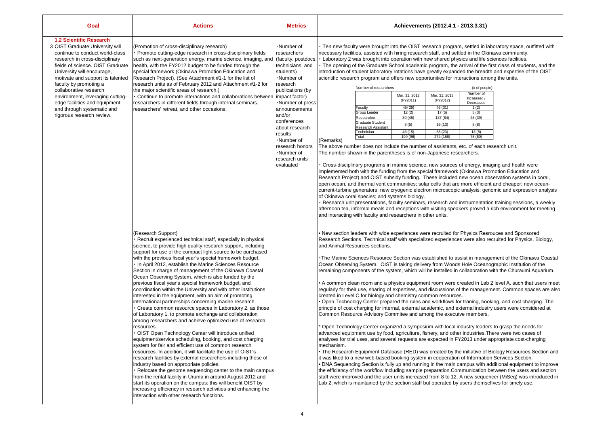| <b>Goal</b>                                                                                                                                                                                                                                                                                                                                                                                                                        | <b>Actions</b>                                                                                                                                                                                                                                                                                                                                                                                                                                                                                                                                                                                                                                                                                                                                                                                                                                                                                                                                                                                                                                                                                                                                                                                                                                                                                                                                                                                                                                                                                                                                                       | <b>Metrics</b>                                                                                                                                                                                                                                                                                                                               | Achievements (2012.4.1 - 2013.3.31)                                                                                                                                                                                                                                                                                                                                                                                                                                                                                                                                                                                                                                                                                                                                                                                                                                                                                                                                                                                                                                                                                                                                                                                                                                                                                                                                                                                                                                                                                                                                                                                                                                                                                                                                                                                                    |
|------------------------------------------------------------------------------------------------------------------------------------------------------------------------------------------------------------------------------------------------------------------------------------------------------------------------------------------------------------------------------------------------------------------------------------|----------------------------------------------------------------------------------------------------------------------------------------------------------------------------------------------------------------------------------------------------------------------------------------------------------------------------------------------------------------------------------------------------------------------------------------------------------------------------------------------------------------------------------------------------------------------------------------------------------------------------------------------------------------------------------------------------------------------------------------------------------------------------------------------------------------------------------------------------------------------------------------------------------------------------------------------------------------------------------------------------------------------------------------------------------------------------------------------------------------------------------------------------------------------------------------------------------------------------------------------------------------------------------------------------------------------------------------------------------------------------------------------------------------------------------------------------------------------------------------------------------------------------------------------------------------------|----------------------------------------------------------------------------------------------------------------------------------------------------------------------------------------------------------------------------------------------------------------------------------------------------------------------------------------------|----------------------------------------------------------------------------------------------------------------------------------------------------------------------------------------------------------------------------------------------------------------------------------------------------------------------------------------------------------------------------------------------------------------------------------------------------------------------------------------------------------------------------------------------------------------------------------------------------------------------------------------------------------------------------------------------------------------------------------------------------------------------------------------------------------------------------------------------------------------------------------------------------------------------------------------------------------------------------------------------------------------------------------------------------------------------------------------------------------------------------------------------------------------------------------------------------------------------------------------------------------------------------------------------------------------------------------------------------------------------------------------------------------------------------------------------------------------------------------------------------------------------------------------------------------------------------------------------------------------------------------------------------------------------------------------------------------------------------------------------------------------------------------------------------------------------------------------|
| <b>1.2 Scientific Research</b><br>3 OIST Graduate University will<br>continue to conduct world-class<br>research in cross-disciplinary<br>fields of science. OIST Graduate<br>University will encourage,<br>motivate and support its talented<br>faculty by promoting a<br>collaborative research<br>environment, leveraging cutting-<br>edge facilities and equipment,<br>and through systematic and<br>rigorous research review. | (Promotion of cross-disciplinary research)<br>Promote cutting-edge research in cross-disciplinary fields<br>such as next-generation energy, marine science, imaging, and<br>health, with the FY2012 budget to be funded through the<br>special framework (Okinawa Promotion Education and<br>Research Project). (See Attachment #1-1 for the list of<br>research units as of February 2012 and Attachment #1-2 for<br>the major scientific areas of research.)<br>Continue to promote interactions and collaborations between<br>researchers in different fields through internal seminars,<br>researchers' retreat, and other occasions.                                                                                                                                                                                                                                                                                                                                                                                                                                                                                                                                                                                                                                                                                                                                                                                                                                                                                                                            | ·Number of<br>researchers<br>$\vert$ (faculty, postdocs, $\vert$<br>technicians, and<br>students)<br>·Number of<br>research<br>publications (by<br>(impact factor)<br>. Number of press<br>announcements<br>and/or<br>conferences<br>about research<br>results<br>.Number of<br>research honors<br>.Number of<br>research units<br>evaluated | Ten new faculty were brought into the OIST research program, settled in labor<br>necessary facilities, assisted with hiring research staff, and settled in the Okina<br>Laboratory 2 was brought into operation with new shared physics and life sci<br>The opening of the Graduate School academic program, the arrival of the firs<br>introduction of student laboratory rotations have greatly expanded the breadth<br>scientific research program and offers new opportunities for interactions among<br>Number of researchers<br>(# of people)<br>Number of<br>Mar. 31, 2013<br>Mar. 31, 2012<br>Increased /<br>(FY2012)<br>(FY2011)<br>Decreased<br>1(2)<br>45(29)<br>46 (31)<br>Faculty<br>5(3)<br>Group Leader<br>12(2)<br>17(5)<br>89 (45)<br>137 (84)<br>48 (39)<br>Researcher<br><b>Graduate Student</b><br>8(5)<br>8(8)<br>16 (13)<br>Research Assistant<br>13(8)<br>Technician<br>45 (15)<br>58 (23)<br>Total<br>274 (156)<br>199 (96)<br>75 (60)<br>(Remarks)<br>The above number does not include the number of assistants, etc. of each res<br>The number shown in the parentheses is of non-Japanese researchers.<br>Cross-disciplinary programs in marine science, new sources of energy, image<br>implemented both with the funding from the special framework (Okinawa Prom<br>Research Project) and OIST subsidy funding. These included new ocean obse<br>open ocean, and thermal vent communities; solar cells that are more efficient and<br>current-turbine generators; new cryogenic electron microscopic analysis; geno<br>of Okinawa coral species; and systems biology.<br>Research unit presentations, faculty seminars, research and instrumentation<br>afternoon tea, informal meals and receptions with visiting speakers proved a ri<br>and interacting with faculty and researchers in other units. |
|                                                                                                                                                                                                                                                                                                                                                                                                                                    | (Research Support)<br>Recruit experienced technical staff, especially in physical<br>science, to provide high quality research support, including<br>support for use of the compact light source to be purchased<br>with the previous fiscal year's special framework budget.<br>In April 2012, establish the Marine Sciences Resource<br>Section in charge of management of the Okinawa Coastal<br>Ocean Observing System, which is also funded by the<br>previous fiscal year's special framework budget, and<br>coordination within the University and with other institutions<br>interested in the equipment, with an aim of promoting<br>international partnerships concerning marine research.<br>Create common resource spaces in Laboratory 2, as those<br>of Laboratory 1, to promote exchange and collaboration<br>among researchers and achieve optimized use of research<br>resources.<br>OIST Open Technology Center will introduce unified<br>equipment/service scheduling, booking, and cost charging<br>system for fair and efficient use of common research<br>resources. In addition, it will facilitate the use of OIST's<br>research facilities by external researchers including those of<br>industry based on appropriate policies.<br>Relocate the genome sequencing center to the main campus<br>from the rental facility in Uruma in around August 2012 and<br>start its operation on the campus: this will benefit OIST by<br>increasing efficiency in research activities and enhancing the<br>interaction with other research functions. |                                                                                                                                                                                                                                                                                                                                              | • New section leaders with wide experiences were recruited for Physics Resrou<br>Research Sections. Technical staff with specialized experiences were also rec<br>and Animal Resources sections.<br>· The Marine Sciences Resource Section was established to assist in manager<br>Ocean Observing System. OIST is taking delivery from Woods Hole Oceanog<br>remaining components of the system, which will be installed in collaboration wi<br>• A common clean room and a physics equipment room were created in Lab 2<br>regularly for their use, sharing of expertises, and discussions of the manageme<br>created in Level C for biology and chemistry common resources.<br>Open Technology Center prepared the rules and workflows for traning, booki<br>princple of cost charging for internal, external academic, and external industry<br>Common Resource Advisory Commitee and among the executve members.<br>Open Technology Center organized a symposium with local industry leaders<br>advanced equipment use by food, agriculture, fishery, and other industries. The<br>analyses for trial uses, and several requests are expected in FY2013 under ap<br>mechanism.<br>• The Research Equipment Database (RED) was created by the initiative of Bio<br>it was liked to a new web-based booking system in cooperation of Information<br>• DNA Sequencing Section is fully up and running in the main campus with add<br>the efficiency of the workflow including sample preparation. Communication bet<br>staff were improved and the user units increased from 8 to 12. A new sequenc<br>Lab 2, which is maintained by the section staff but operated by users themself                                                                                                                                                |

oratory space, outfitted with awa community. iences facilities.

rst class of students, and the i and expertise of the OIST ng the units.

search unit.

ging and health were *f* otion Education and Rervation systems in coral, and cheaper; new oceanomic and expression analysis

n training sessions, a weekly rich environment for meeting

uces and Sponsored cruited for Physics, Biology,

<sub>e</sub>ment of the Okinawa Coastal graphic Institution of the vith the Churaumi Aquarium.

level A, such that users meet rent. Common spaces are also

ing, and cost charging. The wers were considered at

to grasp the needs for ere were two cases of ppropriate cost-charging

iology Resources Section and **Services Section.** 

ditional equipment to improve tween the users and section cer (MiSeq) was introduced in fves for timely use.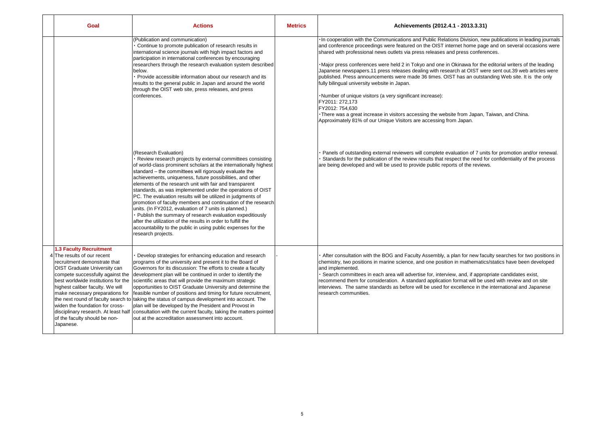and Public Relations Division, new publications in leading journals ed on the OIST internet home page and on several occasions were press releases and press conferences.

Tokyo and one in Okinawa for the editorial writers of the leading dealing with research at OIST were sent out.39 web articles were ade 36 times. OIST has an outstanding Web site. It is the only

ant increase):

cessing the website from Japan, Taiwan, and China. are accessing from Japan.

will complete evaluation of 7 units for promotion and/or renewal. ew results that respect the need for confidentiality of the process rovide public reports of the reviews.

culty Assembly, a plan for new faculty searches for two positions in e, and one position in mathematics/statics have been developed

vertise for, interview, and, if appropriate candidates exist, andard application format will be used with review and on site e will be used for excellence in the international and Japanese

| Goal                                                                                                                                                                                                                                                                                                                                                                                                                                                 | <b>Actions</b>                                                                                                                                                                                                                                                                                                                                                                                                                                                                                                                                                                                                                                                                                                                                                                                                        | <b>Metrics</b> | <b>Achieve</b>                                                                                                                                                                                                                                                                                                                                                                                                                                                                                           |
|------------------------------------------------------------------------------------------------------------------------------------------------------------------------------------------------------------------------------------------------------------------------------------------------------------------------------------------------------------------------------------------------------------------------------------------------------|-----------------------------------------------------------------------------------------------------------------------------------------------------------------------------------------------------------------------------------------------------------------------------------------------------------------------------------------------------------------------------------------------------------------------------------------------------------------------------------------------------------------------------------------------------------------------------------------------------------------------------------------------------------------------------------------------------------------------------------------------------------------------------------------------------------------------|----------------|----------------------------------------------------------------------------------------------------------------------------------------------------------------------------------------------------------------------------------------------------------------------------------------------------------------------------------------------------------------------------------------------------------------------------------------------------------------------------------------------------------|
|                                                                                                                                                                                                                                                                                                                                                                                                                                                      | (Publication and communication)<br>Continue to promote publication of research results in<br>international science journals with high impact factors and<br>participation in international conferences by encouraging<br>researchers through the research evaluation system described<br>below.<br>Provide accessible information about our research and its<br>results to the general public in Japan and around the world<br>through the OIST web site, press releases, and press<br>conferences.                                                                                                                                                                                                                                                                                                                   |                | In cooperation with the Communications<br>and conference proceedings were featured<br>shared with professional news outlets via p<br>Major press conferences were held 2 in T<br>Japanese newspapers.11 press releases o<br>published. Press announcements were ma<br>fully bilingual university website in Japan.<br>·Number of unique visitors (a very significantly<br>FY2011: 272,173<br>FY2012: 754,630<br>· There was a great increase in visitors aco<br>Approximately 81% of our Unique Visitors |
|                                                                                                                                                                                                                                                                                                                                                                                                                                                      | (Research Evaluation)<br>Review research projects by external committees consisting<br>of world-class prominent scholars at the internationally highest<br>standard – the committees will rigorously evaluate the<br>achievements, uniqueness, future possibilities, and other<br>elements of the research unit with fair and transparent<br>standards, as was implemented under the operations of OIST<br>PC. The evaluation results will be utilized in judgments of<br>promotion of faculty members and continuation of the research<br>units. (In FY2012, evaluation of 7 units is planned.)<br>• Publish the summary of research evaluation expeditiously<br>after the utilization of the results in order to fulfill the<br>accountability to the public in using public expenses for the<br>research projects. |                | Panels of outstanding external reviewers<br>Standards for the publication of the revie<br>are being developed and will be used to pr                                                                                                                                                                                                                                                                                                                                                                     |
| <b>1.3 Faculty Recruitment</b><br>The results of our recent<br>recruitment demonstrate that<br><b>OIST Graduate University can</b><br>compete successfully against the<br>best worldwide institutions for the<br>highest caliber faculty. We will<br>make necessary preparations for<br>the next round of faculty search to<br>widen the foundation for cross-<br>disciplinary research. At least half<br>of the faculty should be non-<br>Japanese. | Develop strategies for enhancing education and research<br>programs of the university and present it to the Board of<br>Governors for its discussion: The efforts to create a faculty<br>development plan will be continued in order to identify the<br>scientific areas that will provide the maximum strategic<br>opportunities to OIST Graduate University and determine the<br>feasible number of positions and timing for future recruitment,<br>taking the status of campus development into account. The<br>plan will be developed by the President and Provost in<br>consultation with the current faculty, taking the matters pointed<br>out at the accreditation assessment into account.                                                                                                                   |                | After consultation with the BOG and Fac<br>chemistry, two positions in marine science<br>and implemented.<br>Search committees in each area will adv<br>recommend them for consideration. A sta<br>interviews. The same standards as before<br>research communities.                                                                                                                                                                                                                                     |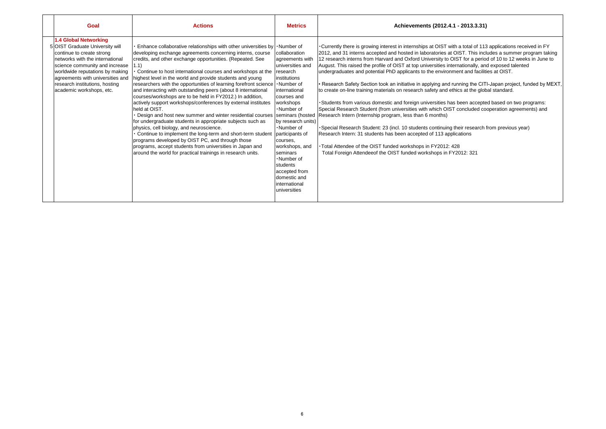rnships at OIST with a total of 113 applications received in FY 1 in laboratories at OIST. This includes a summer program taking ford University to OIST for a period of 10 to 12 weeks in June to top universities internationally, and exposed talented ants to the environment and facilities at OIST.

ve in applying and running the CITI-Japan project, funded by MEXT, earch safety and ethics at the global standard.

eign universities has been accepted based on two programs: ies with which OIST concluded cooperation agreements) and s than 6 months)

tudents continuing their research from previous year)  $c$ cepted of 113 applications

shops in FY2012: 428 ed workshops in FY2012: 321

| <b>Goal</b>                                                                                                                                                                                                                                                                                            | <b>Actions</b>                                                                                                                                                                                                                                                                                                                                                                                                                                                                                                                                                                                                                                                                                                                                                                                                                                                                                                                                                                                                                                                          | <b>Metrics</b>                                                                                                                                                                                                                                                                                                                                                                     | <b>Achiev</b>                                                                                                                                                                                                                                                                                                                                                                                                                                                                                                                                                                                                                                               |
|--------------------------------------------------------------------------------------------------------------------------------------------------------------------------------------------------------------------------------------------------------------------------------------------------------|-------------------------------------------------------------------------------------------------------------------------------------------------------------------------------------------------------------------------------------------------------------------------------------------------------------------------------------------------------------------------------------------------------------------------------------------------------------------------------------------------------------------------------------------------------------------------------------------------------------------------------------------------------------------------------------------------------------------------------------------------------------------------------------------------------------------------------------------------------------------------------------------------------------------------------------------------------------------------------------------------------------------------------------------------------------------------|------------------------------------------------------------------------------------------------------------------------------------------------------------------------------------------------------------------------------------------------------------------------------------------------------------------------------------------------------------------------------------|-------------------------------------------------------------------------------------------------------------------------------------------------------------------------------------------------------------------------------------------------------------------------------------------------------------------------------------------------------------------------------------------------------------------------------------------------------------------------------------------------------------------------------------------------------------------------------------------------------------------------------------------------------------|
| <b>1.4 Global Networking</b><br>5 OIST Graduate University will<br>continue to create strong<br>networks with the international<br>science community and increase<br>worldwide reputations by making<br>agreements with universities and<br>research institutions, hosting<br>academic workshops, etc. | Enhance collaborative relationships with other universities by $\cdot$ Number of<br>developing exchange agreements concerning interns, course<br>credits, and other exchange opportunities. (Repeated. See<br>1.1)<br>Continue to host international courses and workshops at the<br>highest level in the world and provide students and young<br>researchers with the opportunities of learning forefront science<br>and interacting with outstanding peers (about 8 international<br>courses/workshops are to be held in FY2012.) In addition,<br>actively support workshops/conferences by external institutes<br>held at OIST.<br>Design and host new summer and winter residential courses Seminars (hosted<br>for undergraduate students in appropriate subjects such as<br>physics, cell biology, and neuroscience.<br>Continue to implement the long-term and short-term student<br>programs developed by OIST PC, and through those<br>programs, accept students from universities in Japan and<br>around the world for practical trainings in research units. | collaboration<br>agreements with<br>Iuniversities and<br><b>I</b> research<br>linstitutions<br>.Number of<br>linternational<br>courses and<br>workshops<br>. Number of<br>by research units)<br>.Number of<br>participants of<br>courses,<br>workshops, and<br><b>seminars</b><br>.Number of<br><b>students</b><br>accepted from<br>domestic and<br>Iinternational<br>universities | . Currently there is growing interest in inter<br>2012, and 31 interns accepted and hosted<br>12 research interns from Harvard and Oxf<br>August. This raised the profile of OIST at t<br>undergraduates and potential PhD applica<br>• Research Safety Section took an initiative<br>to create on-line training materials on rese<br>Students from various domestic and fore<br>Special Research Student (from universitie<br>Research Intern (Internship program, less<br>· Special Research Student: 23 (incl. 10 st<br>Research Intern: 31 students has been ac<br>. Total Attendee of the OIST funded works<br>Total Foreign Attendeeof the OIST funde |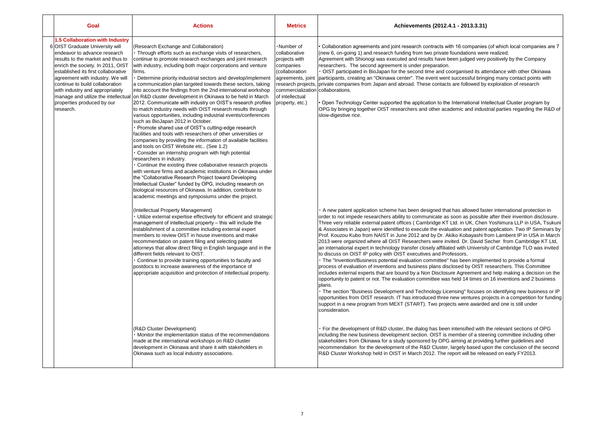arch contracts with 16 companies (of which local companies are 7 from two private foundations were realized.

nd results have been judged very positively by the Company nder preparation.

cond time and coorganised its attendance with other Okinawa The event went successful bringing many contact points with l. These contacts are followed by exploration of research

application to the International Intellectual Cluster program by ers and other academic and industrial parties regarding the R&D of

een designed that has allowed faster international protection in communicate as soon as possible after their invention disclosure. ( Cambridge KT Ltd. in UK, Chen Yoshimura LLP in USA, Tsukuni execute the evaluation and patent application. Two IP Seminars by 012 and by Dr. Akiko Kobayashi from Lambent IP in USA in March earchers were invited. Dr. David Secher from Cambridge KT Ltd, fer closely affiliated with University of Cambridge TLO was invited tecutives and Professors.

ation committee" has been implemented to provide a formal usiness plans disclosed by OIST researchers. This Committee by a Non Disclosure Agreement and help making a decision on the n committee was held 14 times on 16 inventions and 2 business

Technology Licensing" focuses on identifying new business or IP introduced three new ventures projects in a competition for funding FART). Two projects were awarded and one is still under

dialog has been intensified with the relevant sections of OPG section. OIST is member of a steering committee including other onsored by OPG aiming at providing further guidelines and the R&D Cluster, largely based upon the conclusion of the second arch 2012. The report will be released on early FY2013.

| <b>Goal</b>                                                                                                                                                                                                                                                                                                                                                                     | <b>Actions</b>                                                                                                                                                                                                                                                                                                                                                                                                                                                                                                                                                                                                                                                                                                                                                                                                                                                                                                                                                                                                                                                                                                                                                                                                                                                                                                                                                                                                                                                                      | <b>Metrics</b>                                                                                                                                                              | <b>Achieve</b>                                                                                                                                                                                                                                                                                                                                                                                                                                                                                                                                                                                                                                                                                                                                                                                                                                                                                                                                               |
|---------------------------------------------------------------------------------------------------------------------------------------------------------------------------------------------------------------------------------------------------------------------------------------------------------------------------------------------------------------------------------|-------------------------------------------------------------------------------------------------------------------------------------------------------------------------------------------------------------------------------------------------------------------------------------------------------------------------------------------------------------------------------------------------------------------------------------------------------------------------------------------------------------------------------------------------------------------------------------------------------------------------------------------------------------------------------------------------------------------------------------------------------------------------------------------------------------------------------------------------------------------------------------------------------------------------------------------------------------------------------------------------------------------------------------------------------------------------------------------------------------------------------------------------------------------------------------------------------------------------------------------------------------------------------------------------------------------------------------------------------------------------------------------------------------------------------------------------------------------------------------|-----------------------------------------------------------------------------------------------------------------------------------------------------------------------------|--------------------------------------------------------------------------------------------------------------------------------------------------------------------------------------------------------------------------------------------------------------------------------------------------------------------------------------------------------------------------------------------------------------------------------------------------------------------------------------------------------------------------------------------------------------------------------------------------------------------------------------------------------------------------------------------------------------------------------------------------------------------------------------------------------------------------------------------------------------------------------------------------------------------------------------------------------------|
| <b>1.5 Collaboration with Industry</b><br>6 OIST Graduate University will<br>endeavor to advance research<br>results to the market and thus to<br>enrich the society. In 2011, OIST<br>established its first collaborative<br>agreement with industry. We will<br>continue to build collaboration<br>with industry and appropriately<br>properties produced by our<br>research. | (Research Exchange and Collaboration)<br>• Through efforts such as exchange visits of researchers,<br>continue to promote research exchanges and joint research<br>with industry, including both major corporations and venture<br>firms.<br>• Determine priority industrial sectors and develop/implement<br>a communication plan targeted towards these sectors, taking<br>into account the findings from the 2nd international workshop<br>manage and utilize the intellectual on R&D cluster development in Okinawa to be held in March<br>2012. Communicate with industry on OIST's research profiles<br>to match industry needs with OIST research results through<br>various opportunities, including industrial events/conferences<br>such as BioJapan 2012 in October.<br>Promote shared use of OIST's cutting-edge research<br>facilities and tools with researchers of other universities or<br>companies by providing the information of available facilities<br>and tools on OIST Website etc (See 1.2)<br>Consider an internship program with high potential<br>researchers in industry.<br>Continue the existing three collaborative research projects<br>with venture firms and academic institutions in Okinawa under<br>the "Collaborative Research Project toward Developing<br>Intellectual Cluster" funded by OPG, including research on<br>biological resources of Okinawa. In addition, contribute to<br>academic meetings and symposiums under the project. | ·Number of<br>collaborative<br>projects with<br>companies<br>(collaboration<br>agreements, joint<br>commercialization collaborations.<br>of intellectual<br>property, etc.) | • Collaboration agreements and joint resea<br>(new 6, on-going 1) and research funding<br>Agreement with Shionogi was executed ar<br>researchers. The second agreement is ur<br>OIST participated in BioJapan for the set<br>participants, creating an "Okinawa center".<br>research projects, private companies from Japan and abroad<br>• Open Technology Center supported the a<br>OPG by bringing together OIST researche<br>slow-digestive rice.                                                                                                                                                                                                                                                                                                                                                                                                                                                                                                        |
|                                                                                                                                                                                                                                                                                                                                                                                 | (Intellectual Property Management)<br>• Utilize external expertise effectively for efficient and strategic<br>management of intellectual property – this will include the<br>establishment of a committee including external expert<br>members to review OIST in house inventions and make<br>recommendation on patent filing and selecting patent<br>attorneys that allow direct filing in English language and in the<br>different fields relevant to OIST.<br>Continue to provide training opportunities to faculty and<br>postdocs to increase awareness of the importance of<br>appropriate acquisition and protection of intellectual property.<br>(R&D Cluster Development)<br>• Monitor the implementation status of the recommendations<br>made at the international workshops on R&D cluster<br>development in Okinawa and share it with stakeholders in<br>Okinawa such as local industry associations.                                                                                                                                                                                                                                                                                                                                                                                                                                                                                                                                                                  |                                                                                                                                                                             | A new patent application scheme has be<br>order to not impede researchers ability to a<br>Three very reliable external patent offices<br>& Associates in Japan) were identified to e<br>Prof. Kouzou Kubo from NAIST in June 20<br>2013 were organized where all OIST Rese<br>an international expert in technology trans<br>to discuss on OIST IP policy with OIST exe<br>· The "Invention/Business potential evalua<br>process of evaluation of inventions and bu<br>includes external experts that are bound b<br>opportunity to patent or not. The evaluation<br>plans.<br>• The section "Business Development and<br>opportunities from OIST research. IT has i<br>support in a new program from MEXT (ST<br>consideration.<br>• For the development of R&D cluster, the<br>including the new business development s<br>stakeholders from Okinawa for a study spo<br>recommendation for the development of t<br>R&D Cluster Workshop held in OIST in Ma |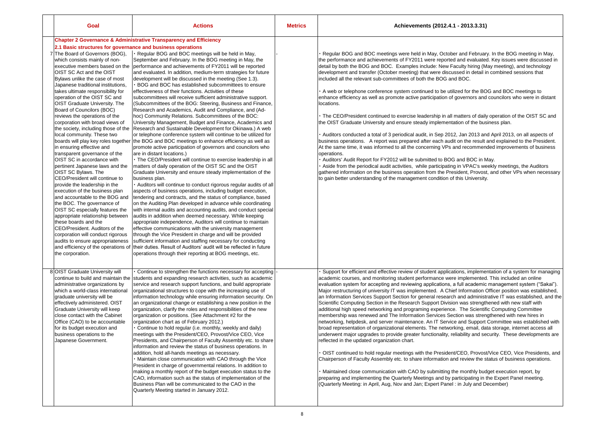eld in May, October and February. In the BOG meeting in May, 2011 were reported and evaluated. Key issues were discussed in es include: New Faculty hiring (May meeting), and technology g) that were discussed in detail in combined sessions that f both the BOG and BOC.

continued to be utilized for the BOG and BOC meetings to ve participation of governors and councilors who were in distant

leadership in all matters of daily operation of the OIST SC and steady implementation of the business plan.

I audit, in Sep 2012, Jan 2013 and April 2013, on all aspects of ed after each audit on the result and explained to the President. concerning VPs and recommended improvements of business

submitted to BOG and BOC in May.

while participating in VPAC's weekly meetings, the Auditors ation from the President, Provost, and other VPs when necessary ement condition of this University.

of student applications, implementation of a system for managing performance were implemented. This included an online ving applications, a full academic management system ("Sakai"). blemented. A Chief Information Officer position was established, or general research and administrative IT was established, and the rch Support Division was strengthened with new staff with raming experience. The Scientific Computing Committee. ation Services Section was strengthened with new hires in ance. An IT Service and Support Committee was established with hents. The networking, email, data storage, internet access all iter functionality, reliability and security. These developments are

with the President/CEO, Provost/Vice CEO, Vice Presidents, and are information and review the status of business operations.

AO by submitting the monthly budget execution report, by Meetings and by participating in the Expert Panel meeting. (an; Expert Panel : in July and December)

|  | <b>Goal</b>                                                                                                                                                                                                                                                                                                                                                                                                                                                                                                                                                                                                                                                                                                                                                                                                                                                                                                                                                                                                                                                                                                                                                     | <b>Actions</b>                                                                                                                                                                                                                                                                                                                                                                                                                                                                                                                                                                                                                                                                                                                                                                                                                                                                                                                                                                                                                                                                                                                                                                                                                                                                                                                                                                                                                                                                                                                                                                                                                                                                                                                                                                                                                                                                                                                                                                                                                                                                                                                                               | <b>Metrics</b> | <b>Achieve</b>                                                                                                                                                                                                                                                                                                                                                                                                                                                                                                                                                                                                                                                                                                                                                                                         |
|--|-----------------------------------------------------------------------------------------------------------------------------------------------------------------------------------------------------------------------------------------------------------------------------------------------------------------------------------------------------------------------------------------------------------------------------------------------------------------------------------------------------------------------------------------------------------------------------------------------------------------------------------------------------------------------------------------------------------------------------------------------------------------------------------------------------------------------------------------------------------------------------------------------------------------------------------------------------------------------------------------------------------------------------------------------------------------------------------------------------------------------------------------------------------------|--------------------------------------------------------------------------------------------------------------------------------------------------------------------------------------------------------------------------------------------------------------------------------------------------------------------------------------------------------------------------------------------------------------------------------------------------------------------------------------------------------------------------------------------------------------------------------------------------------------------------------------------------------------------------------------------------------------------------------------------------------------------------------------------------------------------------------------------------------------------------------------------------------------------------------------------------------------------------------------------------------------------------------------------------------------------------------------------------------------------------------------------------------------------------------------------------------------------------------------------------------------------------------------------------------------------------------------------------------------------------------------------------------------------------------------------------------------------------------------------------------------------------------------------------------------------------------------------------------------------------------------------------------------------------------------------------------------------------------------------------------------------------------------------------------------------------------------------------------------------------------------------------------------------------------------------------------------------------------------------------------------------------------------------------------------------------------------------------------------------------------------------------------------|----------------|--------------------------------------------------------------------------------------------------------------------------------------------------------------------------------------------------------------------------------------------------------------------------------------------------------------------------------------------------------------------------------------------------------------------------------------------------------------------------------------------------------------------------------------------------------------------------------------------------------------------------------------------------------------------------------------------------------------------------------------------------------------------------------------------------------|
|  | 2.1 Basic structures for governance and business operations<br>7 The Board of Governors (BOG),<br>which consists mainly of non-<br>executive members based on the<br><b>OIST SC Act and the OIST</b><br>Bylaws unlike the case of most<br>Japanese traditional institutions,<br>takes ultimate responsibility for<br>operation of the OIST SC and<br><b>OIST Graduate University. The</b><br>Board of Councilors (BOC)<br>reviews the operations of the<br>corporation with broad views of<br>the society, including those of the<br>local community. These two<br>in ensuring effective and<br>transparent governance of the<br>OIST SC in accordance with<br>pertinent Japanese laws and the<br>OIST SC Bylaws. The<br>CEO/President will continue to<br>provide the leadership in the<br>execution of the business plan<br>and accountable to the BOG and<br>the BOC. The governance of<br>OIST SC especially features the<br>appropriate relationship between<br>these boards and the<br>CEO/President. Auditors of the<br>corporation will conduct rigorous<br>audits to ensure appropriateness<br>and efficiency of the operations of<br>the corporation. | <b>Chapter 2 Governance &amp; Administrative Transparency and Efficiency</b><br>· Regular BOG and BOC meetings will be held in May,<br>September and February. In the BOG meeting in May, the<br>performance and achievements of FY2011 will be reported<br>and evaluated. In addition, medium-term strategies for future<br>development will be discussed in the meeting (See 1.3).<br>· BOG and BOC has established subcommittees to ensure<br>effectiveness of their functions. Activities of these<br>subcommittees will receive sufficient administrative support.<br>(Subcommittees of the BOG: Steering, Business and Finance,<br>Research and Academics, Audit and Compliance, and (Ad-<br>hoc) Community Relations. Subcommittees of the BOC:<br>University Management, Budget and Finance, Academics and<br>Research and Sustainable Development for Okinawa.) A web<br>or telephone conference system will continue to be utilized for<br>boards will play key roles together the BOG and BOC meetings to enhance efficiency as well as<br>promote active participation of governors and councilors who<br>are in distant locations.)<br>· The CEO/President will continue to exercise leadership in all<br>matters of daily operation of the OIST SC and the OIST<br>Graduate University and ensure steady implementation of the<br>business plan.<br>· Auditors will continue to conduct rigorous regular audits of all<br>aspects of business operations, including budget execution,<br>tendering and contracts, and the status of compliance, based<br>on the Auditing Plan developed in advance while coordinating<br>with internal audits and accounting audits, and conduct special<br>audits in addition when deemed necessary. While keeping<br>appropriate independence, Auditors will continue to maintain<br>effective communications with the university management<br>through the Vice President in charge and will be provided<br>sufficient information and staffing necessary for conducting<br>their duties. Result of Auditors' audit will be reflected in future<br>operations through their reporting at BOG meetings, etc. |                | Regular BOG and BOC meetings were he<br>the performance and achievements of FY2<br>detail by both the BOG and BOC. Example<br>development and transfer (October meeting<br>included all the relevant sub-committees of<br>A web or telephone conference system co<br>enhance efficiency as well as promote active<br>locations.<br>· The CEO/President continued to exercise<br>the OIST Graduate University and ensure s<br>Auditors conducted a total of 3 periodical<br>business operations. A report was prepare<br>At the same time, it was informed to all the<br>operations.<br>· Auditors' Audit Report for FY2012 will be<br>Aside from the periodical audit activities,<br>gathered information on the business opera<br>to gain better understanding of the manage                          |
|  | 8 OIST Graduate University will<br>continue to build and maintain the<br>administrative organizations by<br>which a world-class international<br>graduate university will be<br>effectively administered. OIST<br>Graduate University will keep<br>close contact with the Cabinet<br>Office (CAO) to be accountable<br>for its budget execution and<br>business operations to the<br>Japanese Government.                                                                                                                                                                                                                                                                                                                                                                                                                                                                                                                                                                                                                                                                                                                                                       | Continue to strengthen the functions necessary for accepting  -<br>students and expanding research activities, such as academic<br>service and research support functions, and build appropriate<br>organizational structures to cope with the increasing use of<br>information technology while ensuring information security. On<br>an organizational change or establishing a new position in the<br>organization, clarify the roles and responsibilities of the new<br>organization or positions. (See Attachment #2 for the<br>organization chart as of February 2012.)<br>• Continue to hold regular (i.e. monthly, weekly and daily)<br>meetings with the President/CEO, Provost/Vice CEO, Vice<br>Presidents, and Chairperson of Faculty Assembly etc. to share<br>information and review the status of business operations. In<br>addition, hold all-hands meetings as necessary.<br>• Maintain close communication with CAO through the Vice<br>President in charge of governmental relations. In addition to<br>making a monthly report of the budget execution status to the<br>CAO, information such as the status of implementation of the<br>Business Plan will be communicated to the CAO in the<br>Quarterly Meeting started in January 2012.                                                                                                                                                                                                                                                                                                                                                                                                                                                                                                                                                                                                                                                                                                                                                                                                                                                                                               |                | Support for efficient and effective review of<br>academic courses, and monitoring student<br>evaluation system for accepting and review<br>Major restructuring of university IT was imp<br>an Information Services Support Section fo<br>Scientific Computing Section in the Resear<br>additional high speed networking and progr<br>membership was renewed and The Informa<br>networking, helpdesk, and server maintena<br>broad representation of organizational elem<br>underwent major upgrades to provide great<br>reflected in the updated organization chart.<br>OIST continued to hold regular meetings<br>Chairperson of Faculty Assembly etc. to sha<br>Maintained close communication with CA<br>preparing and implementing the Quarterly M<br>(Quarterly Meeting: in April, Aug, Nov and J |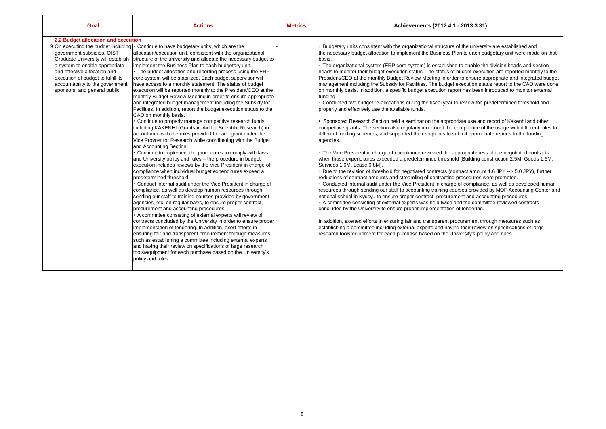izational structure of the university are established and ent the Business Plan to each budgetary unit were made on that

stem) is established to enable the division heads and section atus. The status of budget execution are reported monthly to the ew Meeting in order to ensure appropriate and integrated budget cilities. The budget execution status report to the CAO were done dget execution report has been introduced to monitor external

ng the fiscal year to review the predetermined threshold and

inar on the appropriate use and report of Kakenhi and other arly monitored the compliance of the usage with different rules for he recepients to submit appropriate reports to the funding

ce reviewed the appropriateness of the negotiated contracts etermined threshold (Building construction 2.5M, Goods 1.6M,

iated contracts (contract amount 1.6 JPY --> 5.0 JPY), further ling of contracting procedures were promoted. President in charge of compliance, as well as developed human bunting training courses provided by MOF Accounting Center and contract, procurement and accounting procedures. ts was held twice and the committee reviewed contracts er implementation of tendering.

Ind transparent procurement through measures such as experts and having their review on specifications of large se based on the University's policy and rules

| 2.2 Budget allocation and execution<br>9 On executing the budget including   Continue to have budgetary units, which are the<br>government subsidies, OIST<br>allocation/execution unit, consistent with the organizational<br>Graduate University will establish<br>structure of the university and allocate the necessary budget to<br>basis.<br>implement the Business Plan to each budgetary unit.<br>a system to enable appropriate<br>and effective allocation and<br>• The budget allocation and reporting process using the ERP<br>execution of budget to fulfill its<br>core-system will be stabilized. Each budget supervisor will<br>accountability to the government,<br>have access to a monthly statement. The status of budget<br>sponsors, and general public.<br>execution will be reported monthly to the President/CEO at the<br>monthly Budget Review Meeting in order to ensure appropriate<br>funding.<br>and integrated budget management including the Subsidy for<br>Facilities. In addition, report the budget execution status to the<br>CAO on monthly basis.<br>Continue to properly manage competitive research funds<br>including KAKENHI (Grants-in-Aid for Scientific Research) in<br>accordance with the rules provided to each grant under the<br>Vice Provost for Research while coordinating with the Budget<br>agencies.<br>and Accounting Section.<br>Continue to implement the procedures to comply with laws<br>and University policy and rules - the procedure in budget<br>execution includes reviews by the Vice President in charge of<br>Services 1.0M, Lease 0.8M).<br>compliance when individual budget expenditures exceed a<br>predetermined threshold.<br>Conduct internal audit under the Vice President in charge of<br>compliance, as well as develop human resources through<br>sending our staff to training courses provided by government<br>agencies, etc. on regular basis, to ensure proper contract,<br>procurement and accounting procedures.<br>A committee consisting of external experts will review of<br>contracts concluded by the University in order to ensure proper<br>implementation of tendering. In addition, exert efforts in<br>ensuring fair and transparent procurement through measures<br>such as establishing a committee including external experts | <b>Goal</b> | <b>Actions</b>                                              | <b>Metrics</b> | <b>Achievemer</b>                                                                                                                                                                                                                                                                                                                                                                                                                                                                                                                                                                                                                                                                                                                                                                                                                                                                                                                                                                                                                                                                                                                                                                                                                                       |
|-----------------------------------------------------------------------------------------------------------------------------------------------------------------------------------------------------------------------------------------------------------------------------------------------------------------------------------------------------------------------------------------------------------------------------------------------------------------------------------------------------------------------------------------------------------------------------------------------------------------------------------------------------------------------------------------------------------------------------------------------------------------------------------------------------------------------------------------------------------------------------------------------------------------------------------------------------------------------------------------------------------------------------------------------------------------------------------------------------------------------------------------------------------------------------------------------------------------------------------------------------------------------------------------------------------------------------------------------------------------------------------------------------------------------------------------------------------------------------------------------------------------------------------------------------------------------------------------------------------------------------------------------------------------------------------------------------------------------------------------------------------------------------------------------------------------------------------------------------------------------------------------------------------------------------------------------------------------------------------------------------------------------------------------------------------------------------------------------------------------------------------------------------------------------------------------------------------------------------------------------------------------------------------------------------------------------------------------|-------------|-------------------------------------------------------------|----------------|---------------------------------------------------------------------------------------------------------------------------------------------------------------------------------------------------------------------------------------------------------------------------------------------------------------------------------------------------------------------------------------------------------------------------------------------------------------------------------------------------------------------------------------------------------------------------------------------------------------------------------------------------------------------------------------------------------------------------------------------------------------------------------------------------------------------------------------------------------------------------------------------------------------------------------------------------------------------------------------------------------------------------------------------------------------------------------------------------------------------------------------------------------------------------------------------------------------------------------------------------------|
| tools/equipment for each purchase based on the University's<br>policy and rules.                                                                                                                                                                                                                                                                                                                                                                                                                                                                                                                                                                                                                                                                                                                                                                                                                                                                                                                                                                                                                                                                                                                                                                                                                                                                                                                                                                                                                                                                                                                                                                                                                                                                                                                                                                                                                                                                                                                                                                                                                                                                                                                                                                                                                                                        |             | and having their review on specifications of large research |                | Budgetary units consistent with the organization<br>the necessary budget allocation to implement th<br>· The organizational system (ERP core system)<br>heads to monitor their budget execution status.<br>President/CEO at the monthly Budget Review M<br>management including the Subsidy for Facilities<br>on monthly basis. In addition, a specific budget<br>Conducted two budget re-allocations during th<br>properly and effectively use the available funds.<br>Sponsored Research Section held a seminar<br>competitive grants. The section also regularly m<br>different funding schemes, and supported the re<br>• The Vice President in charge of compliance re<br>when those expenditures exceeded a predetern<br>Due to the revision of threshold for negotiated<br>reductions of contract amounts and streamling<br>Conducted internal audit under the Vice Presi-<br>resources through sending our staff to accounti<br>national school in Kyusyu to ensure proper cont<br>A committee consisting of external experts wa-<br>concluded by the University to ensure proper im<br>In addition, exerted efforts in ensuring fair and t<br>establishing a committee including external exp<br>research tools/equipment for each purchase ba |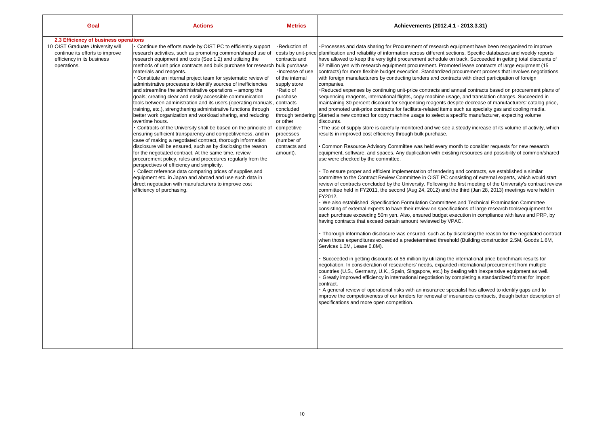ent of research equipment have been reorganised to improve cross different sections. Specific databases and weekly reports ement schedule on track. Succeeded in getting total discounts of ocurement. Promoted lease contracts of large equipment (15 on. Standardized procurement process that involves negotiations enders and contracts with direct participation of foreign

ce contracts and annual contracts based on procurement plans of copy machine usage, and translation charges. Succeeded in ncing reagents despite decrease of manufacturers' catalog price, tate-related items such as specialty gas and cooling media. sage to select a specific manufacturer, expecting volume

ored and we see a steady increase of its volume of activity, which bulk purchase.

was held every month to consider requests for new research lication with existing resources and possibility of common/shared

tation of tendering and contracts, we established a similar tee in OIST PC consisting of external experts, which would start ersity. Following the first meeting of the University's contract review ig 24, 2012) and the third (Jan 28, 2013) meetings were held in

ulation Committees and Technical Examination Committee review on specifications of large research tools/equipment for ensured budget execution in compliance with laws and PRP, by int reviewed by VPAC.

sured, such as by disclosing the reason for the negotiated contract letermined threshold (Building construction 2.5M, Goods 1.6M,

lion by utilizing the international price benchmark results for s' needs, expanded international procurement from multiple gapore, etc.) by dealing with inexpensive equipment as well. al negotiation by completing a standardized format for import

an insurance specialist has allowed to identify gaps and to s for renewal of insurances contracts, though better description of

| Goal                                                                                                                                                      | <b>Actions</b>                                                                                                                                                                                                                                                                                                                                                                                                                                                                                                                                                                                                                                                                                                                                                                                                                                                                                                                                                                                                                                                                                                                                                                                                                                                                                                                                                                                                                                    | <b>Metrics</b>                                                                                                                                                                                                                       | <b>Achieve</b>                                                                                                                                                                                                                                                                                                                                                                                                                                                                                                                                                                                                                                                                                                                                                                                                                                                                                                                                                                                                                                                                                                                                                                                                                                                                                                                                                                                                                                                                                                                                                                                                                                                                |
|-----------------------------------------------------------------------------------------------------------------------------------------------------------|---------------------------------------------------------------------------------------------------------------------------------------------------------------------------------------------------------------------------------------------------------------------------------------------------------------------------------------------------------------------------------------------------------------------------------------------------------------------------------------------------------------------------------------------------------------------------------------------------------------------------------------------------------------------------------------------------------------------------------------------------------------------------------------------------------------------------------------------------------------------------------------------------------------------------------------------------------------------------------------------------------------------------------------------------------------------------------------------------------------------------------------------------------------------------------------------------------------------------------------------------------------------------------------------------------------------------------------------------------------------------------------------------------------------------------------------------|--------------------------------------------------------------------------------------------------------------------------------------------------------------------------------------------------------------------------------------|-------------------------------------------------------------------------------------------------------------------------------------------------------------------------------------------------------------------------------------------------------------------------------------------------------------------------------------------------------------------------------------------------------------------------------------------------------------------------------------------------------------------------------------------------------------------------------------------------------------------------------------------------------------------------------------------------------------------------------------------------------------------------------------------------------------------------------------------------------------------------------------------------------------------------------------------------------------------------------------------------------------------------------------------------------------------------------------------------------------------------------------------------------------------------------------------------------------------------------------------------------------------------------------------------------------------------------------------------------------------------------------------------------------------------------------------------------------------------------------------------------------------------------------------------------------------------------------------------------------------------------------------------------------------------------|
| 2.3 Efficiency of business operations<br>10 OIST Graduate University will<br>continue its efforts to improve<br>efficiency in its business<br>operations. | • Continue the efforts made by OIST PC to efficiently support<br>research activities, such as promoting common/shared use of<br>research equipment and tools (See 1.2) and utilizing the<br>methods of unit price contracts and bulk purchase for research bulk purchase<br>materials and reagents.<br>Constitute an internal project team for systematic review of<br>administrative processes to identify sources of inefficiencies<br>and streamline the administrative operations – among the<br>goals; creating clear and easily accessible communication<br>tools between administration and its users (operating manuals, contracts<br>training, etc.), strengthening administrative functions through<br>better work organization and workload sharing, and reducing<br>overtime hours.<br>Contracts of the University shall be based on the principle of<br>ensuring sufficient transparency and competitiveness, and in<br>case of making a negotiated contract, thorough information<br>disclosure will be ensured, such as by disclosing the reason<br>for the negotiated contract. At the same time, review<br>procurement policy, rules and procedures regularly from the<br>perspectives of efficiency and simplicity.<br>Collect reference data comparing prices of supplies and<br>equipment etc. in Japan and abroad and use such data in<br>direct negotiation with manufacturers to improve cost<br>efficiency of purchasing. | ·Reduction of<br>contracts and<br>· Increase of use<br>of the internal<br>supply store<br>·Ratio of<br>purchase<br>concluded<br>through tendering<br>or other<br>competitive<br>processes<br>(number of<br>contracts and<br>amount). | · Processes and data sharing for Procurem<br>costs by unit-price planification and reliability of information ac<br>have allowed to keep the very tight procure<br>82 million yen with research equipment pro<br>contracts) for more flexible budget execution<br>with foreign manufacturers by conducting to<br>companies.<br>Reduced expenses by continuing unit-pric<br>sequencing reagents, international flights, o<br>maintaining 30 percent discount for sequer<br>and promoted unit-price contracts for facilit<br>Started a new contract for copy machine us<br>discounts.<br>· The use of supply store is carefully monito<br>results in improved cost efficiency through<br>• Common Resource Advisory Committee<br>equipment, software, and spaces. Any dup<br>use were checked by the committee.<br>• To ensure proper and efficient implement<br>committee to the Contract Review Committ<br>review of contracts concluded by the Unive<br>committee held in FY2011, the second (Au<br>FY2012.<br>· We also established Specification Formu<br>consisting of external experts to have their<br>each purchase exceeding 50m yen. Also, e<br>having contracts that exceed certain amour<br>· Thorough information disclosure was ens<br>when those expenditures exceeded a pred<br>Services 1.0M, Lease 0.8M).<br>Succeeded in getting discounts of 55 mill<br>negotiation. In consideration of researchers<br>countries (U.S., Germany, U.K., Spain, Sin<br>· Greatly improved efficiency in internation<br>contract.<br>• A general review of operational risks with<br>improve the competitiveness of our tenders<br>specifications and more open competition. |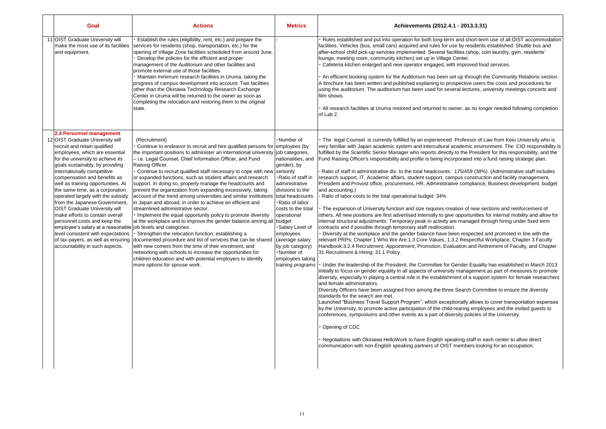for both long-term and short-term use of all OIST accommodation ed and rules for use by residents established. Shuttle bus and ented. Several facilities (shop, coin laundry, gym, residents' lounge Center. Set up in Village Center.

rator engaged, with improved food services.

torium has been set up through the Community Relations section. d explaining to prospective users the costs and procedures for been used for several lectures, university meetings concerts and

and returned to owner, as no longer needed following completion

y an experienced Professor of Law from Keio University who is and intercultural academic environment. The CIO responsibility is who reports directly to the President for this responsibility, and the rofile is being incorporated into a fund raising strategic plan.

total headcounts: 175/459 (38%). (Administrative staff includes researt support, campus construction and facility management, t, HR, Administrative compliance, Business development, budget

al budget: 34%

I size requires creation of new sections and reinforcement of ed internally to give opportunities for internal mobility and allow for peak in activity are managed through hiring under fixed term ry staff reallocation.

er balance have been respected and promoted in line with the 3 Core Values, 1.3.2 Respectful Workplace, Chapter 3 Faculty It, Promotion, Evaluation and Retirement of Faculty, and Chapter

he Committee for Gender Equality has established in March 2013 spects of university management as part of measures to promote le in the establishment of a support system for female researchers

m among the three Search Committee to ensure the diversity

ram", which exceptionally allows to cover transportation expenses pation of the child-rearing employees and the invited guests to ts as a part of diversity policies of the University.

have English speaking staff in each center to allow direct partners of OIST members looking for an occupation.

| Goal                                                                                                                                                                                                                                                                                                                                                                                                                                                                                                                                                                                                                                                                                                           | <b>Actions</b>                                                                                                                                                                                                                                                                                                                                                                                                                                                                                                                                                                                                                                                                                                                                                                                                                                                                                                                                                                                                                                                                                                                                                                                                      | <b>Metrics</b>                                                                                                                                                                                                                                                                                   | <b>Achieve</b>                                                                                                                                                                                                                                                                                                                                                                                                                                                                                                                                                                                                                                                                                                                                                                                                                                                                                                                                                                                                                                                                                                                                                                                                                                                                                |
|----------------------------------------------------------------------------------------------------------------------------------------------------------------------------------------------------------------------------------------------------------------------------------------------------------------------------------------------------------------------------------------------------------------------------------------------------------------------------------------------------------------------------------------------------------------------------------------------------------------------------------------------------------------------------------------------------------------|---------------------------------------------------------------------------------------------------------------------------------------------------------------------------------------------------------------------------------------------------------------------------------------------------------------------------------------------------------------------------------------------------------------------------------------------------------------------------------------------------------------------------------------------------------------------------------------------------------------------------------------------------------------------------------------------------------------------------------------------------------------------------------------------------------------------------------------------------------------------------------------------------------------------------------------------------------------------------------------------------------------------------------------------------------------------------------------------------------------------------------------------------------------------------------------------------------------------|--------------------------------------------------------------------------------------------------------------------------------------------------------------------------------------------------------------------------------------------------------------------------------------------------|-----------------------------------------------------------------------------------------------------------------------------------------------------------------------------------------------------------------------------------------------------------------------------------------------------------------------------------------------------------------------------------------------------------------------------------------------------------------------------------------------------------------------------------------------------------------------------------------------------------------------------------------------------------------------------------------------------------------------------------------------------------------------------------------------------------------------------------------------------------------------------------------------------------------------------------------------------------------------------------------------------------------------------------------------------------------------------------------------------------------------------------------------------------------------------------------------------------------------------------------------------------------------------------------------|
| 11 OIST Graduate University will<br>make the most use of its facilities<br>and equipment.                                                                                                                                                                                                                                                                                                                                                                                                                                                                                                                                                                                                                      | Establish the rules (eligibility, rent, etc.) and prepare the<br>services for residents (shop, transportation, etc.) for the<br>opening of Village Zone facilities scheduled from around June.<br>Develop the policies for the efficient and proper<br>management of the Auditorium and other facilities and<br>promote external use of those facilities.<br>Maintain minimum research facilities in Uruma, taking the<br>progress of campus development into account: Two facilities<br>other than the Okinawa Technology Research Exchange<br>Center in Uruma will be returned to the owner as soon as<br>completing the relocation and restoring them to the original<br>state.                                                                                                                                                                                                                                                                                                                                                                                                                                                                                                                                  |                                                                                                                                                                                                                                                                                                  | Rules established and put into operation<br>facilities. Vehicles (bus, small cars) acquire<br>after-school child pick-up services implem<br>lounge, meeting room, community kitchen)<br>Cafeteria kitchen enlarged and new oper<br>An efficient booking system for the Audite<br>A brochure has been written and published<br>using the auditorium. The auditorium has b<br>film shows.<br>· All research facilities at Uruma restored a<br>of Lab 2.                                                                                                                                                                                                                                                                                                                                                                                                                                                                                                                                                                                                                                                                                                                                                                                                                                         |
| 2.4 Personnel management<br>12 OIST Graduate University will<br>recruit and retain qualified<br>employees, which are essential<br>for the university to achieve its<br>goals sustainably, by providing<br>internationally competitive<br>compensation and benefits as<br>well as training opportunities. At<br>the same time, as a corporation<br>operated largely with the subsidy<br>from the Japanese Government,<br><b>OIST Graduate University will</b><br>make efforts to contain overall<br>personnel costs and keep the<br>employee's salary at a reasonable job levels and categories.<br>level consistent with expectations<br>of tax-payers, as well as ensuring<br>accountability in such aspects. | (Recruitment)<br>Continue to endeavor to recruit and hire qualified persons for employees (by<br>the important positions to administer an international university job categories,<br>- i.e. Legal Counsel, Chief Information Officer, and Fund<br>Raising Officer.<br>Continue to recruit qualified staff necessary to cope with new seniority<br>or expanded functions, such as student affairs and research<br>support. In doing so, properly manage the headcounts and<br>prevent the organization from expanding excessively, taking<br>account of the trend among universities and similar institutions total headcounts<br>in Japan and abroad, in order to achieve an efficient and<br>streamlined administrative sector.<br>Implement the equal opportunity policy to promote diversity<br>at the workplace and to improve the gender balance among all budget<br>Strengthen the relocation function; establishing a<br>documented procedure and list of services that can be shared<br>with new comers from the time of their enrolment, and<br>networking with schools to increase the opportunities for<br>children education and with potential employers to identify<br>more options for spouse work. | .Number of<br>nationalities, and<br>gender), by<br>·Ratio of staff in<br>administrative<br>divisions to the<br>Ratio of labor<br>costs to the total<br>operational<br>·Salary Level of<br>employees<br>(average salary<br>by job category)<br>Number of<br>employees taking<br>training programs | The legal Counsel is currently fulfilled b<br>very familiar with Japan academic system<br>fulfilled by the Scientific Senior Manager w<br>Fund Raising Officer's responsibility and po<br>Ratio of staff in administrative div. to the<br>research support, IT, Academic affairs, stu<br>President and Provost office, procurement<br>and accounting.)<br>Ratio of labor costs to the total operationa<br>The expansion of University function and<br>others. All new positions are first advertise<br>internal structural adjustments. Temporary<br>contracts and if possible through temporar<br>Diversity at the workplace and the gende<br>relevant PRPs; Chapter 1 Who We Are:1.3<br>Handbook: 3.2.4 Recruitment, Appointmen<br>31 Recruitment & Hiring: 31.1 Policy.<br>Under the leadership of the President, th<br>initially to focus on gender equality in all as<br>diversity, especially in playing a central role<br>and female administrators.<br>Diversity Officers have been assigned from<br>standards for the search are met.<br>Launched "Business Travel Support Progra<br>by the University, to promote active particip<br>conferences, symposiums and other event<br>Opening of CDC<br>Negotiations with Okinawa HelloWork to<br>communication with non-English speaking |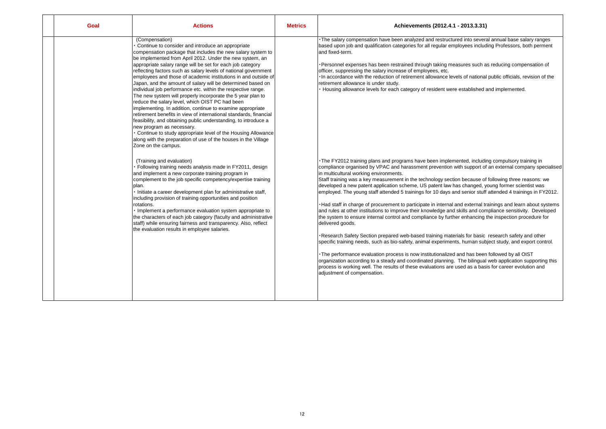alyzed and restructured into several annual base salary ranges es for all regular employees including Professors, both perment

through taking measures such as reducing compensation of employees, etc.

ement allowance levels of national public officials, revision of the

gory of resident were established and implemented.

have been implemented, including compulsory training in ssment prevention with support of an external company specialised

he technology section because of following three reasons: we me, US patent law has changed, young former scientist was inings for 10 days and senior stuff attended 4 trainings in FY2012.

rticipate in internal and external trainings and learn about systems heir knowledge and skills and compliance sensitivity. Developed compliance by further enhancing the inspection procedure for

based training materials for basic research safety and other , animal experiments, human subject study, and export control.

now institutionalized and has been followed by all OIST oordinated planning. The bilingual web application supporting this ese evaluations are used as a basis for career evolution and

| Goal | <b>Actions</b>                                                                                                                                                                                                                                                                                                                                                                                                                                                                                                                                                                                                                                                                                                                                                                                                                                                                                                                                                                                                                                   | <b>Metrics</b> | <b>Achiev</b>                                                                                                                                                                                                                                                                                                                                                                                                                                                                                                                                                                                                                                                                                              |
|------|--------------------------------------------------------------------------------------------------------------------------------------------------------------------------------------------------------------------------------------------------------------------------------------------------------------------------------------------------------------------------------------------------------------------------------------------------------------------------------------------------------------------------------------------------------------------------------------------------------------------------------------------------------------------------------------------------------------------------------------------------------------------------------------------------------------------------------------------------------------------------------------------------------------------------------------------------------------------------------------------------------------------------------------------------|----------------|------------------------------------------------------------------------------------------------------------------------------------------------------------------------------------------------------------------------------------------------------------------------------------------------------------------------------------------------------------------------------------------------------------------------------------------------------------------------------------------------------------------------------------------------------------------------------------------------------------------------------------------------------------------------------------------------------------|
|      | (Compensation)<br>Continue to consider and introduce an appropriate<br>compensation package that includes the new salary system to<br>be implemented from April 2012. Under the new system, an<br>appropriate salary range will be set for each job category<br>reflecting factors such as salary levels of national government<br>employees and those of academic institutions in and outside of<br>Japan, and the amount of salary will be determined based on<br>individual job performance etc. within the respective range.<br>The new system will properly incorporate the 5 year plan to<br>reduce the salary level, which OIST PC had been<br>implementing. In addition, continue to examine appropriate<br>retirement benefits in view of international standards, financial<br>feasibility, and obtaining public understanding, to introduce a<br>new program as necessary.<br>• Continue to study appropriate level of the Housing Allowance<br>along with the preparation of use of the houses in the Village<br>Zone on the campus. |                | . The salary compensation have been ana<br>based upon job and qualification categorie<br>and fixed-term.<br>· Personnel expenses has been restrained<br>officer, suppressing the salary increase of<br>· In accordance with the reduction of retire<br>retirement allowance is under study.<br>• Housing allowance levels for each categ                                                                                                                                                                                                                                                                                                                                                                   |
|      | (Training and evaluation)<br>Following training needs analysis made in FY2011, design<br>and implement a new corporate training program in<br>complement to the job specific competency/expertise training<br>plan.<br>· Initiate a career development plan for administrative staff,<br>including provision of training opportunities and position<br>rotations.<br>Implement a performance evaluation system appropriate to<br>the characters of each job category (faculty and administrative<br>staff) while ensuring fairness and transparency. Also, reflect<br>the evaluation results in employee salaries.                                                                                                                                                                                                                                                                                                                                                                                                                               |                | • The FY2012 training plans and programs<br>compliance organised by VPAC and haras<br>in multicultural working environments.<br>Staff training was a key measurement in th<br>developed a new patent application schem<br>employed. The young staff attended 5 train<br>. Had staff in charge of procurement to par<br>and rules at other institutions to improve th<br>the system to ensure internal control and o<br>delivered goods.<br>· Research Safety Section prepared web-b<br>specific training needs, such as bio-safety<br>· The performance evaluation process is n<br>organization according to a steady and co<br>process is working well. The results of the<br>adjustment of compensation. |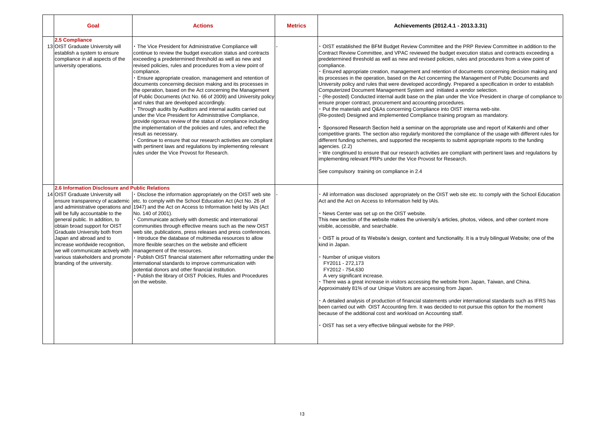ew Committee and the PRP Review Committee in addition to the eviewed the budget execution status and contracts exceeding a nd revised policies, rules and procedures from a view point of

nent and retention of documents concerning decision making and he Act concerning the Management of Public Documents and loped accordingly. Prepared a specification in order to establish stem and initiated a vendor selection.

ise on the plan under the Vice President in charge of compliance to accounting procedures.

Compliance into OIST interna web-site.

Compliance training program as mandatory.

minar on the appropriate use and report of Kakenhi and other larly monitored the compliance of the usage with different rules for I the recepients to submit appropriate reports to the funding

rch activities are compliant with pertinent laws and regulations by ce Provost for Research.

tely on the OIST web site etc. to comply with the School Education held by IAIs.

ebsite.

the university's articles, photos, videos, and other content more

ontent and functionality. It is a truly bilingual Website; one of the

ccessing the website from Japan, Taiwan, and China. are accessing from Japan.

ncial statements under international standards such as IFRS has m. It was decided to not pursue this option for the moment ad on Accounting staff.

ebsite for the PRP.

|  | <b>Goal</b>                                                                                                                                                                                                                                                                                                                                                                                        | <b>Actions</b>                                                                                                                                                                                                                                                                                                                                                                                                                                                                                                                                                                                                                                                                                                                                                                                                                                                                                                                                                                                                                             | <b>Metrics</b> | Achieveme                                                                                                                                                                                                                                                                                                                                                                                                                                                                                                                                                                                                                                                                                                                                                                                                                                                                       |
|--|----------------------------------------------------------------------------------------------------------------------------------------------------------------------------------------------------------------------------------------------------------------------------------------------------------------------------------------------------------------------------------------------------|--------------------------------------------------------------------------------------------------------------------------------------------------------------------------------------------------------------------------------------------------------------------------------------------------------------------------------------------------------------------------------------------------------------------------------------------------------------------------------------------------------------------------------------------------------------------------------------------------------------------------------------------------------------------------------------------------------------------------------------------------------------------------------------------------------------------------------------------------------------------------------------------------------------------------------------------------------------------------------------------------------------------------------------------|----------------|---------------------------------------------------------------------------------------------------------------------------------------------------------------------------------------------------------------------------------------------------------------------------------------------------------------------------------------------------------------------------------------------------------------------------------------------------------------------------------------------------------------------------------------------------------------------------------------------------------------------------------------------------------------------------------------------------------------------------------------------------------------------------------------------------------------------------------------------------------------------------------|
|  | 2.5 Compliance<br>13 OIST Graduate University will<br>establish a system to ensure<br>compliance in all aspects of the<br>university operations.                                                                                                                                                                                                                                                   | . The Vice President for Administrative Compliance will<br>continue to review the budget execution status and contracts<br>exceeding a predetermined threshold as well as new and<br>revised policies, rules and procedures from a view point of<br>compliance.<br>Ensure appropriate creation, management and retention of<br>documents concerning decision making and its processes in<br>the operation, based on the Act concerning the Management<br>of Public Documents (Act No. 66 of 2009) and University policy<br>and rules that are developed accordingly.<br>. Through audits by Auditors and internal audits carried out<br>under the Vice President for Administrative Compliance,<br>provide rigorous review of the status of compliance including<br>the implementation of the policies and rules, and reflect the<br>result as necessary.<br>• Continue to ensure that our research activities are compliant<br>with pertinent laws and regulations by implementing relevant<br>rules under the Vice Provost for Research. |                | OIST established the BFM Budget Review C<br>Contract Review Committee, and VPAC reviev<br>predetermined threshold as well as new and re<br>compliance.<br><b>Ensured appropriate creation, management</b><br>its processes in the operation, based on the A<br>University policy and rules that were develope<br><b>Computerized Document Management Systen</b><br>· (Re-posted) Conducted internal audit base o<br>ensure proper contract, procurement and acco<br>· Put the materials and Q&As concerning Con<br>(Re-posted) Designed and implemented Comp<br>• Sponsored Research Section held a semina<br>competitive grants. The section also regularly<br>different funding schemes, and supported the<br>agencies. (2.2)<br>• We congtinued to ensure that our research a<br>implementing relevant PRPs under the Vice P<br>See compulsory training on compliance in 2.4 |
|  | 2.6 Information Disclosure and Public Relations<br>14 OIST Graduate University will<br>will be fully accountable to the<br>general public. In addition, to<br>obtain broad support for OIST<br>Graduate University both from<br>Japan and abroad and to<br>increase worldwide recognition,<br>we will communicate actively with<br>various stakeholders and promote<br>branding of the university. | Disclose the information appropriately on the OIST web site<br>ensure transparency of academic letc. to comply with the School Education Act (Act No. 26 of<br>and administrative operations and (1947) and the Act on Access to Information held by IAIs (Act<br>No. 140 of 2001).<br>• Communicate actively with domestic and international<br>communities through effective means such as the new OIST<br>web site, publications, press releases and press conferences.<br>· Introduce the database of multimedia resources to allow<br>more flexible searches on the website and efficient<br>management of the resources.<br>. Publish OIST financial statement after reformatting under the<br>international standards to improve communication with<br>potential donors and other financial institution.<br>• Publish the library of OIST Policies, Rules and Procedures<br>on the website.                                                                                                                                         |                | All information was disclosed appropriately<br>Act and the Act on Access to Information held<br>News Center was set up on the OIST websit<br>This new section of the website makes the uni<br>visible, accessible, and searchable.<br>OIST is proud of its Website's design, conter<br>kind in Japan.<br>Number of unique visitors<br>FY2011 - 272,173<br>FY2012 - 754,630<br>A very significant increase.<br>There was a great increase in visitors acces<br>Approximately 81% of our Unique Visitors are<br>A detailed analysis of production of financial<br>been carried out with OIST Accounting firm. It<br>because of the additional cost and workload of<br>OIST has set a very effective bilingual websi                                                                                                                                                               |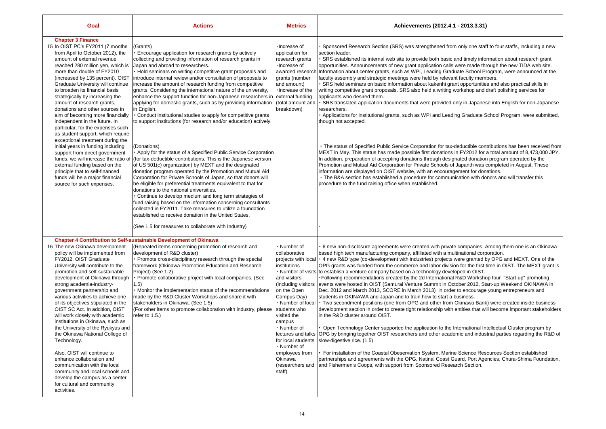s strengthened from only one staff to four staffs, including a new

provide both basic and timely information about research grant nt application calls were made through the new TIDA web site. WPI, Leading Graduate School Program, were announced at the vere held by relevant faculty members.

about kakenhi grant opportunities and also practical skills in also held a writing workshop and draft polishing services for

hat were provided only in Japanese into English for non-Japanese

as WPI and Leading Graduate School Program, were submitted,

Corporation for tax-deductible contributions has been received from  $\mu$ ible first donations in FY2012 for a total amount of 8,473,000 JPY. tions through designated donation program operated by the Private Schools of Japanth was completed in August. These e, with an encouragement for donations.

cedure for communication with donors and will transfer this established.

created with private companies. Among them one is an Okinawa affiliated with a multinational corporation.

ndustries) projects were granted by OPG and MEXT. One of the rce and labor division for the first time in OIST. The MEXT grant is a technology developed in OIST.

he 2d International R&D Workshop four "Start-up" promoting nture Summit in October 2012, Start-up Weekend OKINAWA in arch 2013) in order to encourage young entrepreneurs and rain how to start a business.

PG and other from Okinawa Bank) were created inside business ht relationship with entities that will become important stakeholders

application to the International Intellectual Cluster program by ers and other academic and industrial parties regarding the R&D of

tion System, Marine Science Resources Section established G, Natinal Coast Guard, Port Agencies, Chura-Shima Foundation, an Sponsored Research Section.

|  | <b>Goal</b>                                                                                                                                                                                                                                                                                                                                                                                                                                                                                                                                                                                                                                                                                                                                              | <b>Actions</b>                                                                                                                                                                                                                                                                                                                                                                                                                                                                                                                                                                                                                                                                                                                                                 | <b>Metrics</b>                                                                                                                                                                                                                                                                                                                                     | <b>Achieve</b>                                                                                                                                                                                                                                                                                                                                                                                                                                                                                                                                                                                                                                                                                                                                                                                               |
|--|----------------------------------------------------------------------------------------------------------------------------------------------------------------------------------------------------------------------------------------------------------------------------------------------------------------------------------------------------------------------------------------------------------------------------------------------------------------------------------------------------------------------------------------------------------------------------------------------------------------------------------------------------------------------------------------------------------------------------------------------------------|----------------------------------------------------------------------------------------------------------------------------------------------------------------------------------------------------------------------------------------------------------------------------------------------------------------------------------------------------------------------------------------------------------------------------------------------------------------------------------------------------------------------------------------------------------------------------------------------------------------------------------------------------------------------------------------------------------------------------------------------------------------|----------------------------------------------------------------------------------------------------------------------------------------------------------------------------------------------------------------------------------------------------------------------------------------------------------------------------------------------------|--------------------------------------------------------------------------------------------------------------------------------------------------------------------------------------------------------------------------------------------------------------------------------------------------------------------------------------------------------------------------------------------------------------------------------------------------------------------------------------------------------------------------------------------------------------------------------------------------------------------------------------------------------------------------------------------------------------------------------------------------------------------------------------------------------------|
|  | <b>Chapter 3 Finance</b><br>15 In OIST PC's FY2011 (7 months<br>from April to October 2012), the<br>amount of external revenue<br>reached 280 million yen, which is<br>more than double of FY2010<br>(increased by 135 percent). OIST<br><b>Graduate University will continue</b><br>to broaden its financial basis<br>strategically by increasing the<br>amount of research grants,<br>donations and other sources in<br>aim of becoming more financially<br>independent in the future. In<br>particular, for the expenses such<br>as student support, which require                                                                                                                                                                                    | (Grants)<br>Encourage application for research grants by actively<br>collecting and providing information of research grants in<br>Japan and abroad to researchers.<br>• Hold seminars on writing competitive grant proposals and<br>introduce internal review and/or consultation of proposals to<br>increase the amount of research funding from competitive<br>grants. Considering the international nature of the university,<br>enhance the support function for non-Japanese researchers in<br>applying for domestic grants, such as by providing information<br>in English.<br>• Conduct institutional studies to apply for competitive grants<br>to support institutions (for research and/or education) actively.                                     | · Increase of<br>application for<br>research grants<br>· Increase of<br>grants (number<br>and amount)<br>· Increase of the<br>external funding<br>(total amount and<br>breakdown)                                                                                                                                                                  | Sponsored Research Section (SRS) was<br>section leader.<br>SRS established its internal web site to p<br>opportunities. Announcements of new grain<br>awarded research Information about center grants, such as V<br>faculty assembly and strategic meetings w<br>· SRS held seminars on basic information<br>writing competitive grant proposals. SRS a<br>applicants who desired them.<br>SRS translated application documents th<br>researchers.<br>· Applications for institutional grants, such<br>though not accepted.                                                                                                                                                                                                                                                                                 |
|  | exceptional treatment during the<br>initial years in funding including<br>support from direct government<br>funds, we will increase the ratio of<br>external funding based on the<br>principle that to self-financed<br>funds will be a major financial<br>source for such expenses.                                                                                                                                                                                                                                                                                                                                                                                                                                                                     | (Donations)<br>• Apply for the status of a Specified Public Service Corporation<br>(for tax-deductible contributions. This is the Japanese version<br>of US 501(c) organization) by MEXT and the designated<br>donation program operated by the Promotion and Mutual Aid<br>Corporation for Private Schools of Japan, so that donors will<br>be eligible for preferential treatments equivalent to that for<br>donations to the national universities.<br>Continue to develop medium and long term strategies of<br>fund raising based on the information concerning consultants<br>collected in FY2011. Take measures to utilize a foundation<br>established to receive donation in the United States.<br>(See 1.5 for measures to collaborate with Industry) |                                                                                                                                                                                                                                                                                                                                                    | • The status of Specified Public Service C<br>MEXT in May. This status has made possi<br>In addition, preparation of accepting donat<br>Promotion and Mutual Aid Corporation for<br>information are displayed on OIST website<br>· The B&A section has established a prod<br>procedure to the fund raising office when a                                                                                                                                                                                                                                                                                                                                                                                                                                                                                     |
|  | 16 The new Okinawa development<br>policy will be implemented from<br>FY2012. OIST Graduate<br>University will contribute to the<br>promotion and self-sustainable<br>development of Okinawa through<br>strong academia-industry-<br>government partnership and<br>various activities to achieve one<br>of its objectives stipulated in the<br>OIST SC Act. In addition, OIST<br>will work closely with academic<br>institutions in Okinawa, such as<br>the University of the Ryukyus and<br>the Okinawa National College of<br>Technology.<br>Also, OIST will continue to<br>enhance collaboration and<br>communication with the local<br>community and local schools and<br>develop the campus as a center<br>for cultural and community<br>activities. | <b>Chapter 4 Contribution to Self-sustainable Development of Okinawa</b><br>(Repeated items concerning promotion of research and<br>development of R&D cluster)<br>• Promote cross-disciplinary research through the special<br>framework (Okinawa Promotion Education and Research<br>Project) (See 1.2)<br>• Promote collaborative project with local companies. (See<br>(1.5)<br>• Monitor the implementation status of the recommendations<br>made by the R&D Cluster Workshops and share it with<br>stakeholders in Okinawa. (See 1.5)<br>(For other items to promote collaboration with industry, please<br>refer to 1.5.)                                                                                                                               | • Number of<br>collaborative<br>projects with local<br><i>institutions</i><br>and visitors<br>(including visitors<br>on the Open<br>Campus Day)<br>· Number of local<br>students who<br>visited the<br>campus<br>• Number of<br>lectures and talks<br>for local students<br>• Number of<br>employees from<br>Okinawa<br>(researchers and<br>staff) | · 6 new non-disclosure agreements were<br>based high tech manufacturing company,<br>. 4 new R&D type (co-development with in<br>OPG grants was funded from the commer<br>· Number of visits to establish a venture company based on a<br>· Following recommendations created by tl<br>events were hosted in OIST (Samurai Ven<br>Dec. 2012 and March 2013, SCORE in Ma<br>students in OKINAWA and Japan and to ti<br>· Two secondment positions (one from OF<br>development section in order to create tigh<br>in the R&D cluster around OIST.<br>Open Technology Center supported the<br><b>OPG</b> by bringing together OIST researche<br>slow-digestive rice. (1.5)<br>• For installation of the Coastal Obeservat<br>partnerships and agreements with the OP<br>and Fishermen's Coops, with support from |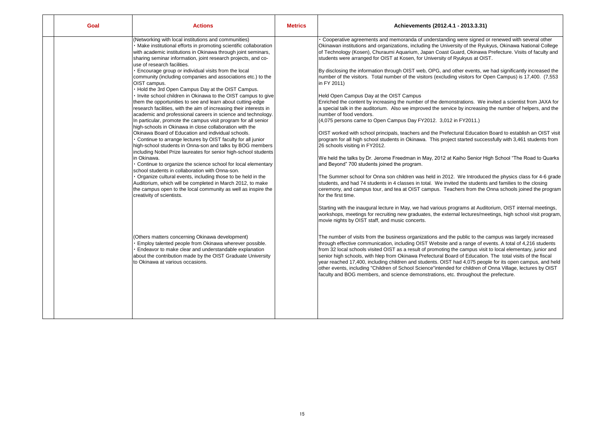da of understanding were signed or renewed with several other ncluding the University of the Ryukyus, Okinawa National College am, Japan Coast Guard, Okinawa Prefecture. Visits of faculty and It for University of Ryukyus at OIST.

T web, OPG, and other events, we had significantly increased the ne visitors (excluding visitors for Open Campus) is 17,400. (7,553

mber of the demonstrations. We invited a scientist from JAXA for mproved the service by increasing the number of helpers, and the

ay FY2012. 3,012 in FY2011.)

ners and the Prefectural Education Board to establish an OIST visit inawa. This project started successfully with 3,461 students from

an in May, 2012 at Kaiho Senior High School "The Road to Quarks

I was held in 2012. We Introduced the physics class for 4-6 grade in total. We invited the students and families to the closing. IST campus. Teachers from the Onna schools joined the program

we had various programs at Auditorium, OIST internal meetings, raduates, the external lectures/meetings, high school visit program, ncerts.

ganizations and the public to the campus was largely increased g OIST Website and a range of events. A total of 4,216 students sult of promoting the campus visit to local elementary, junior and wa Prefectural Board of Education. The total visits of the fiscal nd students. OIST had 4,075 people for its open campus, and held I Science "intended for children of Onna Village, lectures by OIST lemonstrations, etc. throughout the prefecture.

| <b>Goal</b> | <b>Actions</b>                                                                                                                                                                                                                                                                                                                                                                                                                                                                                                                                                                                                                                                                                                                                                                                                                                                                                                                                                                                                                                                                                                                                                                                                                                                                                                                                                                                                                                                                                            | <b>Metrics</b> | <b>Achieveme</b>                                                                                                                                                                                                                                                                                                                                                                                                                                                                                                                                                                                                                                                                                                                                                                                                                                                                                                                                                                                                                                                                                          |
|-------------|-----------------------------------------------------------------------------------------------------------------------------------------------------------------------------------------------------------------------------------------------------------------------------------------------------------------------------------------------------------------------------------------------------------------------------------------------------------------------------------------------------------------------------------------------------------------------------------------------------------------------------------------------------------------------------------------------------------------------------------------------------------------------------------------------------------------------------------------------------------------------------------------------------------------------------------------------------------------------------------------------------------------------------------------------------------------------------------------------------------------------------------------------------------------------------------------------------------------------------------------------------------------------------------------------------------------------------------------------------------------------------------------------------------------------------------------------------------------------------------------------------------|----------------|-----------------------------------------------------------------------------------------------------------------------------------------------------------------------------------------------------------------------------------------------------------------------------------------------------------------------------------------------------------------------------------------------------------------------------------------------------------------------------------------------------------------------------------------------------------------------------------------------------------------------------------------------------------------------------------------------------------------------------------------------------------------------------------------------------------------------------------------------------------------------------------------------------------------------------------------------------------------------------------------------------------------------------------------------------------------------------------------------------------|
|             | (Networking with local institutions and communities)<br>• Make institutional efforts in promoting scientific collaboration<br>with academic institutions in Okinawa through joint seminars,<br>sharing seminar information, joint research projects, and co-<br>use of research facilities.<br>Encourage group or individual visits from the local<br>community (including companies and associations etc.) to the<br>OIST campus.<br>Hold the 3rd Open Campus Day at the OIST Campus.<br>Invite school children in Okinawa to the OIST campus to give<br>them the opportunities to see and learn about cutting-edge<br>research facilities, with the aim of increasing their interests in<br>academic and professional careers in science and technology.<br>In particular, promote the campus visit program for all senior<br>high-schools in Okinawa in close collaboration with the<br>Okinawa Board of Education and individual schools.<br>Continue to arrange lectures by OIST faculty for all junior<br>high-school students in Onna-son and talks by BOG members<br>including Nobel Prize laureates for senior high-school students<br>in Okinawa.<br>Continue to organize the science school for local elementary<br>school students in collaboration with Onna-son.<br>Organize cultural events, including those to be held in the<br>Auditorium, which will be completed in March 2012, to make<br>the campus open to the local community as well as inspire the<br>creativity of scientists. |                | Cooperative agreements and memoranda of<br>Okinawan institutions and organizations, includ<br>of Technology (Kosen), Churaumi Aquarium, J<br>students were arranged for OIST at Kosen, for<br>By disclosing the information through OIST we<br>number of the visitors. Total number of the vis<br>in FY 2011)<br>Held Open Campus Day at the OIST Campus<br>Enriched the content by increasing the number<br>a special talk in the auditorium. Also we impro<br>number of food vendors.<br>(4,075 persons came to Open Campus Day F)<br>OIST worked with school principals, teachers a<br>program for all high school students in Okinaw<br>26 schools visiting in FY2012.<br>We held the talks by Dr. Jerome Freedman in<br>and Beyond" 700 students joined the program.<br>The Summer school for Onna son children was<br>students, and had 74 students in 4 classes in t<br>ceremony, and campus tour, and tea at OIST of<br>for the first time.<br>Starting with the inaugural lecture in May, we h<br>workshops, meetings for recruiting new gradua<br>movie nights by OIST staff, and music concert |
|             | (Others matters concerning Okinawa development)<br>Employ talented people from Okinawa wherever possible.<br>Endeavor to make clear and understandable explanation<br>about the contribution made by the OIST Graduate University<br>to Okinawa at various occasions.                                                                                                                                                                                                                                                                                                                                                                                                                                                                                                                                                                                                                                                                                                                                                                                                                                                                                                                                                                                                                                                                                                                                                                                                                                     |                | The number of visits from the business organiz<br>through effective communication, including OIS<br>from 32 local schools visited OIST as a result of<br>senior high schools, with hlep from Okinawa P<br>year reached 17,400, including children and str<br>other events, including "Children of School Sci<br>faculty and BOG members, and science demo                                                                                                                                                                                                                                                                                                                                                                                                                                                                                                                                                                                                                                                                                                                                                 |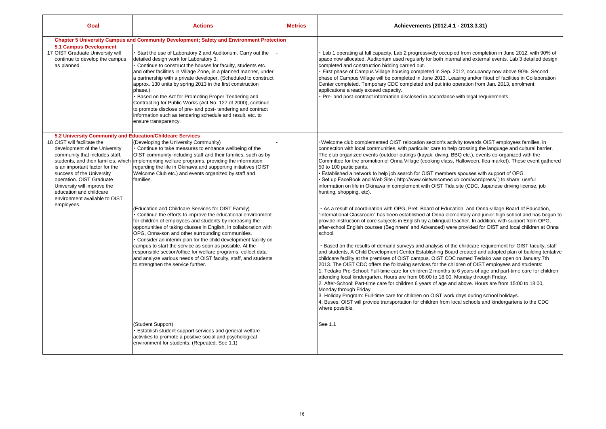ogressively occupied from completion in June 2012, with 90% of jularly for both internal and external events. Lab 3 detailed design d out.

completed in Sep. 2012, occupancy now above 90%. Second ed in June 2013. Leasing and/or fitout of facilities in Collaboration leted and put into operation from Jan. 2013, enrolment

osed in accordance with legal requirements.

cation section's activity towards OIST employees families, in articular care to help crossing the language and cultural barrier. gs (kayak, diving, BBQ etc.), events co-organized with the age (cooking class, Halloween, flea market). These event gathered

for OIST members spouses with support of OPG. ww.oistwelcomeclub.com/wordpress/) to share useful ient with OIST Tida site (CDC, Japanese driving license, job

ref. Board of Education, and Onna-village Board of Education, lished at Onna elementary and junior high school and has begun to plish by a bilingual teacher. In addition, with support from OPG, and Advanced) were provided for OIST and local children at Onna

s and analysis of the childcare requirement for OIST faculty, staff er Establishing Board created and adopted plan of building tentative campus. OIST CDC named Tedako was open on January 7th services for the children of OIST employees and students: thildren 2 months to 6 years of age and part-time care for children attemding 08:00 to 18:00, Monday through Friday.

6 years of age and above. Hours are from 15:00 to 18:00,

dren on OIST work days during school holidays. for children from local schools and kindergartens to the CDC

| Goal                                                                                                                                                                                                                                                                                                                                                                                     | <b>Actions</b>                                                                                                                                                                                                                                                                                                                                                                                                                                                                            | <b>Metrics</b> | <b>Achieve</b>                                                                                                                                                                                                                                                                                                                                                                                                                |
|------------------------------------------------------------------------------------------------------------------------------------------------------------------------------------------------------------------------------------------------------------------------------------------------------------------------------------------------------------------------------------------|-------------------------------------------------------------------------------------------------------------------------------------------------------------------------------------------------------------------------------------------------------------------------------------------------------------------------------------------------------------------------------------------------------------------------------------------------------------------------------------------|----------------|-------------------------------------------------------------------------------------------------------------------------------------------------------------------------------------------------------------------------------------------------------------------------------------------------------------------------------------------------------------------------------------------------------------------------------|
| <b>5.1 Campus Development</b><br>17 OIST Graduate University will<br>continue to develop the campus<br>as planned.                                                                                                                                                                                                                                                                       | <b>Chapter 5 University Campus and Community Development; Safety and Environment Protection</b><br>Start the use of Laboratory 2 and Auditorium. Carry out the<br>detailed design work for Laboratory 3.<br>Continue to construct the houses for faculty, students etc.                                                                                                                                                                                                                   |                | Lab 1 operating at full capacity, Lab 2 pro<br>space now allocated. Auditorium used regi<br>completed and construction bidding carried                                                                                                                                                                                                                                                                                        |
|                                                                                                                                                                                                                                                                                                                                                                                          | and other facilities in Village Zone, in a planned manner, under<br>a partnership with a private developer. (Scheduled to construct<br>approx. 130 units by spring 2013 in the first construction<br>phase.)<br>Based on the Act for Promoting Proper Tendering and<br>Contracting for Public Works (Act No. 127 of 2000), continue<br>to promote disclose of pre- and post- tendering and contract<br>information such as tendering schedule and result, etc. to<br>ensure transparency. |                | <b>First phase of Campus Village housing c</b><br>phase of Campus Village will be completed<br>Center completed. Temporary CDC compl<br>applications already exceed capacity.<br>Pre- and post-contract information disclo                                                                                                                                                                                                    |
| 5.2 University Community and Education/Childcare Services<br>18 OIST will facilitate the<br>development of the University<br>community that includes staff,<br>students, and their families, which<br>is an important factor for the<br>success of the University<br>operation. OIST Graduate<br>University will improve the<br>education and childcare<br>environment available to OIST | (Developing the University Community)<br>Continue to take measures to enhance wellbeing of the<br>OIST community including staff and their families, such as by<br>implementing welfare programs, providing the information<br>regarding the life in Okinawa and supporting initiatives (OIST<br>Welcome Club etc.) and events organized by staff and<br>families.                                                                                                                        |                | Welcome club complemented OIST reloc<br>connection with local communities, with pa<br>The club organized events (outdoor outing<br>Committee for the promotion of Onna Villa<br>50 to 100 participants.<br>Established a network to help job search<br>• Set up FaceBook and Web Site ( http://w<br>information on life in Okinawa in complem<br>hunting, shopping, etc).                                                     |
| employees.                                                                                                                                                                                                                                                                                                                                                                               | (Education and Childcare Services for OIST Family)<br>Continue the efforts to improve the educational environment<br>for children of employees and students by increasing the<br>opportunities of taking classes in English, in collaboration with<br>OPG, Onna-son and other surrounding communities.<br>• Consider an interim plan for the child development facility on<br>campus to start the service as soon as possible. At the                                                     |                | . As a result of coordination with OPG, Pr<br>'International Classroom" has been establi<br>provide instruction of core subjects in Engl<br>after-school English courses (Beginners' a<br>school.<br>. Based on the results of demand surveys                                                                                                                                                                                 |
|                                                                                                                                                                                                                                                                                                                                                                                          | responsible section/office for welfare programs, collect data<br>and analyze various needs of OIST faculty, staff, and students<br>to strengthen the service further.                                                                                                                                                                                                                                                                                                                     |                | and students, A Child Development Cente<br>childcare facility at the premises of OIST c<br>2013. The OIST CDC offers the following a<br>1. Tedako Pre-School: Full-time care for cl<br>attending local kindergarten. Hours are fro<br>2. After-School: Part-time care for children<br>Monday through Friday.<br>3. Holiday Program: Full-time care for child<br>4. Buses: OIST will provide transportation<br>where possible. |
|                                                                                                                                                                                                                                                                                                                                                                                          | (Student Support)<br>Establish student support services and general welfare<br>activities to promote a positive social and psychological<br>environment for students. (Repeated. See 1.1)                                                                                                                                                                                                                                                                                                 |                | <b>See 1.1</b>                                                                                                                                                                                                                                                                                                                                                                                                                |